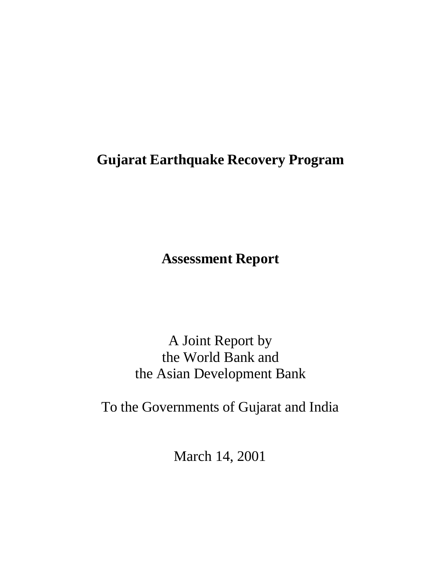# **Gujarat Earthquake Recovery Program**

**Assessment Report**

A Joint Report by the World Bank and the Asian Development Bank

To the Governments of Gujarat and India

March 14, 2001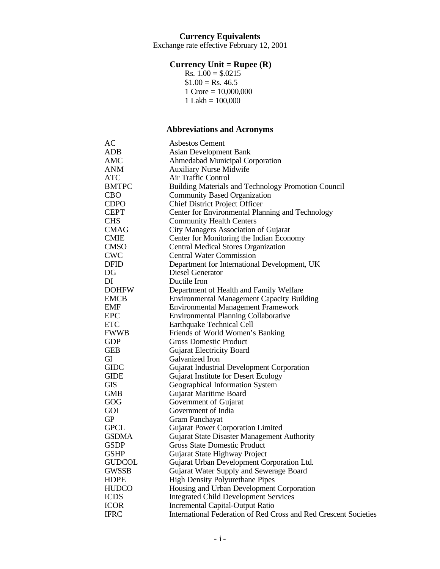Exchange rate effective February 12, 2001

#### **Currency Unit = Rupee (R)**

Rs.  $1.00 = $.0215$  $$1.00 = Rs. 46.5$ 1 Crore = 10,000,000  $1$  Lakh =  $100,000$ 

# **Abbreviations and Acronyms**

| АC                         | <b>Asbestos Cement</b>                                           |
|----------------------------|------------------------------------------------------------------|
| ADB                        | <b>Asian Development Bank</b>                                    |
| AMC                        | <b>Ahmedabad Municipal Corporation</b>                           |
| ANM                        | <b>Auxiliary Nurse Midwife</b>                                   |
| ATC                        | Air Traffic Control                                              |
| BMTPC                      | Building Materials and Technology Promotion Council              |
| CBO                        | <b>Community Based Organization</b>                              |
| CDPO                       | <b>Chief District Project Officer</b>                            |
| CEPT                       | Center for Environmental Planning and Technology                 |
| CHS                        | <b>Community Health Centers</b>                                  |
| CMAG                       | City Managers Association of Gujarat                             |
| CMIE                       | Center for Monitoring the Indian Economy                         |
| CMSO                       | <b>Central Medical Stores Organization</b>                       |
| CWC                        | <b>Central Water Commission</b>                                  |
| DFID                       | Department for International Development, UK                     |
| $\mathop{\rm DG}\nolimits$ | Diesel Generator                                                 |
| DI                         | Ductile Iron                                                     |
| DOHFW                      | Department of Health and Family Welfare                          |
| EMCB                       | <b>Environmental Management Capacity Building</b>                |
| EMF                        | <b>Environmental Management Framework</b>                        |
| EPC                        | <b>Environmental Planning Collaborative</b>                      |
| ETC                        | Earthquake Technical Cell                                        |
| FWWB                       | Friends of World Women's Banking                                 |
| GDP                        | <b>Gross Domestic Product</b>                                    |
| GEB                        | <b>Gujarat Electricity Board</b>                                 |
| GI                         | Galvanized Iron                                                  |
| GIDC                       | Gujarat Industrial Development Corporation                       |
| GIDE                       | Gujarat Institute for Desert Ecology                             |
| GIS                        | Geographical Information System                                  |
| GMB                        | Gujarat Maritime Board                                           |
| $\rm GOG$                  | Government of Gujarat                                            |
| GOI                        | Government of India                                              |
| GP                         | Gram Panchayat                                                   |
| GPCL                       | <b>Gujarat Power Corporation Limited</b>                         |
| GSDMA                      | Gujarat State Disaster Management Authority                      |
| GSDP                       | <b>Gross State Domestic Product</b>                              |
| GSHP                       | Gujarat State Highway Project                                    |
| GUDCOL                     | Gujarat Urban Development Corporation Ltd.                       |
| GWSSB                      | Gujarat Water Supply and Sewerage Board                          |
| HDPE                       | <b>High Density Polyurethane Pipes</b>                           |
| <b>HUDCO</b>               | Housing and Urban Development Corporation                        |
| ICDS                       | <b>Integrated Child Development Services</b>                     |
| ICOR                       | Incremental Capital-Output Ratio                                 |
| <b>IFRC</b>                | International Federation of Red Cross and Red Crescent Societies |
|                            |                                                                  |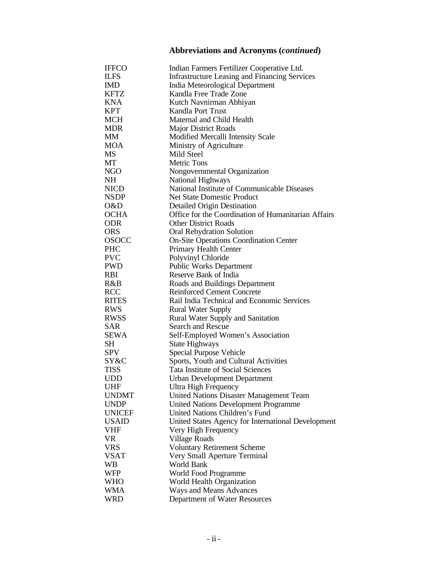# **Abbreviations and Acronyms (***continued***)**

| <b>IFFCO</b>  | Indian Farmers Fertilizer Cooperative Ltd.           |
|---------------|------------------------------------------------------|
| <b>ILFS</b>   | <b>Infrastructure Leasing and Financing Services</b> |
| <b>IMD</b>    | India Meteorological Department                      |
| <b>KFTZ</b>   | Kandla Free Trade Zone                               |
| KNA           | Kutch Navnirman Abhiyan                              |
| <b>KPT</b>    | Kandla Port Trust                                    |
| MCH           | Maternal and Child Health                            |
| <b>MDR</b>    | <b>Major District Roads</b>                          |
| МM            | Modified Mercalli Intensity Scale                    |
| <b>MOA</b>    | Ministry of Agriculture                              |
| MS            | Mild Steel                                           |
| MТ            | <b>Metric Tons</b>                                   |
| NGO           | Nongovernmental Organization                         |
| NH            | National Highways                                    |
| <b>NICD</b>   | National Institute of Communicable Diseases          |
|               |                                                      |
| <b>NSDP</b>   | <b>Net State Domestic Product</b>                    |
| O&D           | <b>Detailed Origin Destination</b>                   |
| <b>OCHA</b>   | Office for the Coordination of Humanitarian Affairs  |
| <b>ODR</b>    | <b>Other District Roads</b>                          |
| <b>ORS</b>    | <b>Oral Rehydration Solution</b>                     |
| <b>OSOCC</b>  | <b>On-Site Operations Coordination Center</b>        |
| <b>PHC</b>    | Primary Health Center                                |
| <b>PVC</b>    | Polyvinyl Chloride                                   |
| <b>PWD</b>    | <b>Public Works Department</b>                       |
| <b>RBI</b>    | Reserve Bank of India                                |
| R&B           | Roads and Buildings Department                       |
| <b>RCC</b>    | <b>Reinforced Cement Concrete</b>                    |
| <b>RITES</b>  | Rail India Technical and Economic Services           |
| <b>RWS</b>    | <b>Rural Water Supply</b>                            |
| <b>RWSS</b>   | Rural Water Supply and Sanitation                    |
| SAR           | Search and Rescue                                    |
| SEWA          | Self-Employed Women's Association                    |
| SН            | State Highways                                       |
| <b>SPV</b>    | Special Purpose Vehicle                              |
| SY&C          | Sports, Youth and Cultural Activities                |
| TISS          | Tata Institute of Social Sciences                    |
| UDD           | <b>Urban Development Department</b>                  |
| UHF           | Ultra High Frequency                                 |
| <b>UNDMT</b>  | <b>United Nations Disaster Management Team</b>       |
| <b>UNDP</b>   | <b>United Nations Development Programme</b>          |
| <b>UNICEF</b> | United Nations Children's Fund                       |
| <b>USAID</b>  | United States Agency for International Development   |
| <b>VHF</b>    | Very High Frequency                                  |
| <b>VR</b>     | Village Roads                                        |
| <b>VRS</b>    | <b>Voluntary Retirement Scheme</b>                   |
| <b>VSAT</b>   | Very Small Aperture Terminal                         |
| WB            | World Bank                                           |
| <b>WFP</b>    | World Food Programme                                 |
| <b>WHO</b>    | World Health Organization                            |
| WMA           | Ways and Means Advances                              |
| <b>WRD</b>    | Department of Water Resources                        |
|               |                                                      |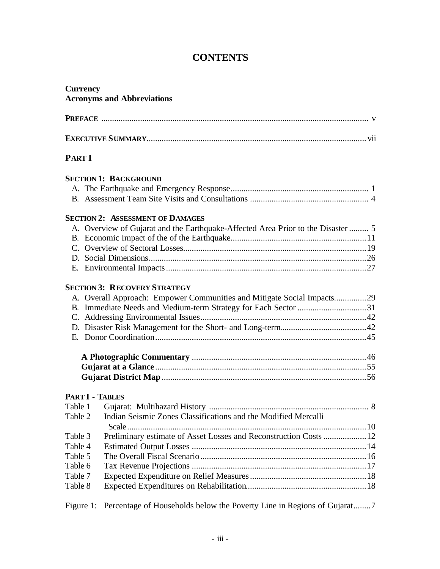# **CONTENTS**

| <b>Currency</b>        | <b>Acronyms and Abbreviations</b>                                                |
|------------------------|----------------------------------------------------------------------------------|
|                        |                                                                                  |
|                        |                                                                                  |
| <b>PART I</b>          |                                                                                  |
|                        | <b>SECTION 1: BACKGROUND</b>                                                     |
|                        |                                                                                  |
|                        |                                                                                  |
|                        | <b>SECTION 2: ASSESSMENT OF DAMAGES</b>                                          |
|                        | A. Overview of Gujarat and the Earthquake-Affected Area Prior to the Disaster  5 |
|                        |                                                                                  |
|                        |                                                                                  |
|                        |                                                                                  |
|                        |                                                                                  |
|                        | <b>SECTION 3: RECOVERY STRATEGY</b>                                              |
|                        | A. Overall Approach: Empower Communities and Mitigate Social Impacts29           |
|                        |                                                                                  |
|                        |                                                                                  |
|                        |                                                                                  |
|                        |                                                                                  |
|                        |                                                                                  |
|                        |                                                                                  |
|                        |                                                                                  |
| <b>PART I - TABLES</b> |                                                                                  |
|                        |                                                                                  |
| Table 2                | Indian Seismic Zones Classifications and the Modified Mercalli                   |
| Table 3                | Preliminary estimate of Asset Losses and Reconstruction Costs  12                |
| Table 4                |                                                                                  |
| Table 5                |                                                                                  |
| Table 6                |                                                                                  |
| Table 7                |                                                                                  |
| Table 8                |                                                                                  |
| Figure 1:              | Percentage of Households below the Poverty Line in Regions of Gujarat7           |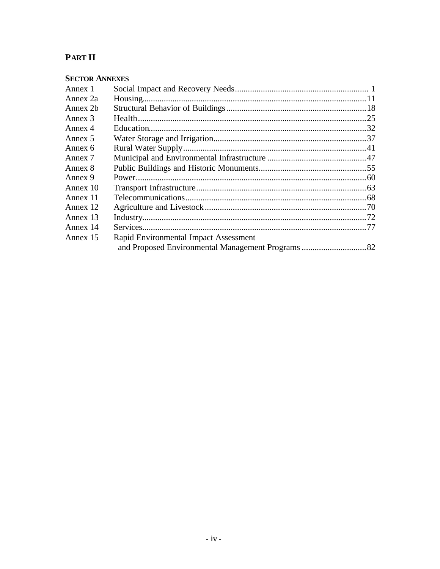# **PART II**

| Annex 1  |                                       |  |
|----------|---------------------------------------|--|
| Annex 2a |                                       |  |
| Annex 2b |                                       |  |
| Annex 3  |                                       |  |
| Annex 4  |                                       |  |
| Annex 5  |                                       |  |
| Annex 6  |                                       |  |
| Annex 7  |                                       |  |
| Annex 8  |                                       |  |
| Annex 9  |                                       |  |
| Annex 10 |                                       |  |
| Annex 11 |                                       |  |
| Annex 12 |                                       |  |
| Annex 13 |                                       |  |
| Annex 14 |                                       |  |
| Annex 15 | Rapid Environmental Impact Assessment |  |
|          |                                       |  |
|          |                                       |  |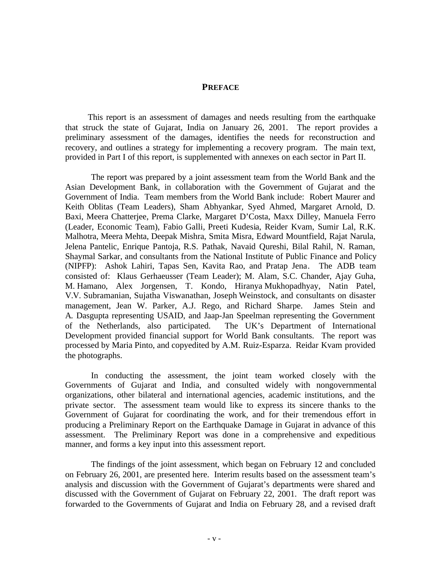#### **PREFACE**

This report is an assessment of damages and needs resulting from the earthquake that struck the state of Gujarat, India on January 26, 2001. The report provides a preliminary assessment of the damages, identifies the needs for reconstruction and recovery, and outlines a strategy for implementing a recovery program. The main text, provided in Part I of this report, is supplemented with annexes on each sector in Part II.

The report was prepared by a joint assessment team from the World Bank and the Asian Development Bank, in collaboration with the Government of Gujarat and the Government of India. Team members from the World Bank include: Robert Maurer and Keith Oblitas (Team Leaders), Sham Abhyankar, Syed Ahmed, Margaret Arnold, D. Baxi, Meera Chatterjee, Prema Clarke, Margaret D'Costa, Maxx Dilley, Manuela Ferro (Leader, Economic Team), Fabio Galli, Preeti Kudesia, Reider Kvam, Sumir Lal, R.K. Malhotra, Meera Mehta, Deepak Mishra, Smita Misra, Edward Mountfield, Rajat Narula, Jelena Pantelic, Enrique Pantoja, R.S. Pathak, Navaid Qureshi, Bilal Rahil, N. Raman, Shaymal Sarkar, and consultants from the National Institute of Public Finance and Policy (NIPFP): Ashok Lahiri, Tapas Sen, Kavita Rao, and Pratap Jena. The ADB team consisted of: Klaus Gerhaeusser (Team Leader); M. Alam, S.C. Chander, Ajay Guha, M. Hamano, Alex Jorgensen, T. Kondo, Hiranya Mukhopadhyay, Natin Patel, V.V. Subramanian, Sujatha Viswanathan, Joseph Weinstock, and consultants on disaster management, Jean W. Parker, A.J. Rego, and Richard Sharpe. James Stein and A. Dasgupta representing USAID, and Jaap-Jan Speelman representing the Government of the Netherlands, also participated. The UK's Department of International Development provided financial support for World Bank consultants. The report was processed by Maria Pinto, and copyedited by A.M. Ruiz-Esparza. Reidar Kvam provided the photographs.

In conducting the assessment, the joint team worked closely with the Governments of Gujarat and India, and consulted widely with nongovernmental organizations, other bilateral and international agencies, academic institutions, and the private sector. The assessment team would like to express its sincere thanks to the Government of Gujarat for coordinating the work, and for their tremendous effort in producing a Preliminary Report on the Earthquake Damage in Gujarat in advance of this assessment. The Preliminary Report was done in a comprehensive and expeditious manner, and forms a key input into this assessment report.

The findings of the joint assessment, which began on February 12 and concluded on February 26, 2001, are presented here. Interim results based on the assessment team's analysis and discussion with the Government of Gujarat's departments were shared and discussed with the Government of Gujarat on February 22, 2001. The draft report was forwarded to the Governments of Gujarat and India on February 28, and a revised draft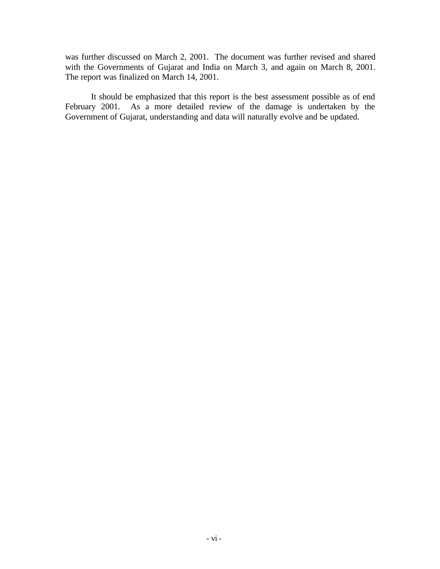was further discussed on March 2, 2001. The document was further revised and shared with the Governments of Gujarat and India on March 3, and again on March 8, 2001. The report was finalized on March 14, 2001.

It should be emphasized that this report is the best assessment possible as of end February 2001. As a more detailed review of the damage is undertaken by the Government of Gujarat, understanding and data will naturally evolve and be updated.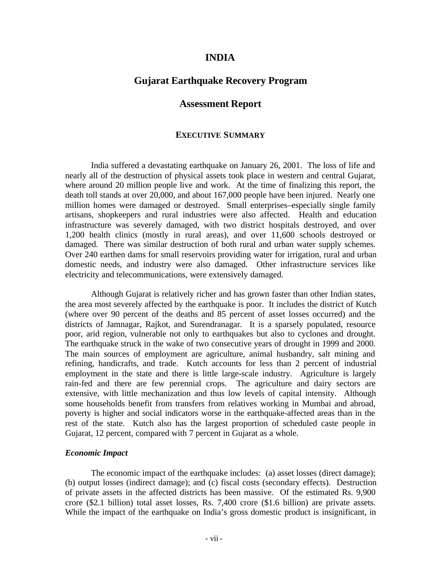#### **INDIA**

### **Gujarat Earthquake Recovery Program**

#### **Assessment Report**

#### **EXECUTIVE SUMMARY**

India suffered a devastating earthquake on January 26, 2001. The loss of life and nearly all of the destruction of physical assets took place in western and central Gujarat, where around 20 million people live and work. At the time of finalizing this report, the death toll stands at over 20,000, and about 167,000 people have been injured. Nearly one million homes were damaged or destroyed. Small enterprises–especially single family artisans, shopkeepers and rural industries were also affected. Health and education infrastructure was severely damaged, with two district hospitals destroyed, and over 1,200 health clinics (mostly in rural areas), and over 11,600 schools destroyed or damaged. There was similar destruction of both rural and urban water supply schemes. Over 240 earthen dams for small reservoirs providing water for irrigation, rural and urban domestic needs, and industry were also damaged. Other infrastructure services like electricity and telecommunications, were extensively damaged.

Although Gujarat is relatively richer and has grown faster than other Indian states, the area most severely affected by the earthquake is poor. It includes the district of Kutch (where over 90 percent of the deaths and 85 percent of asset losses occurred) and the districts of Jamnagar, Rajkot, and Surendranagar. It is a sparsely populated, resource poor, arid region, vulnerable not only to earthquakes but also to cyclones and drought. The earthquake struck in the wake of two consecutive years of drought in 1999 and 2000. The main sources of employment are agriculture, animal husbandry, salt mining and refining, handicrafts, and trade. Kutch accounts for less than 2 percent of industrial employment in the state and there is little large-scale industry. Agriculture is largely rain-fed and there are few perennial crops. The agriculture and dairy sectors are extensive, with little mechanization and thus low levels of capital intensity. Although some households benefit from transfers from relatives working in Mumbai and abroad, poverty is higher and social indicators worse in the earthquake-affected areas than in the rest of the state. Kutch also has the largest proportion of scheduled caste people in Gujarat, 12 percent, compared with 7 percent in Gujarat as a whole.

#### *Economic Impact*

The economic impact of the earthquake includes: (a) asset losses (direct damage); (b) output losses (indirect damage); and (c) fiscal costs (secondary effects). Destruction of private assets in the affected districts has been massive. Of the estimated Rs. 9,900 crore (\$2.1 billion) total asset losses, Rs. 7,400 crore (\$1.6 billion) are private assets. While the impact of the earthquake on India's gross domestic product is insignificant, in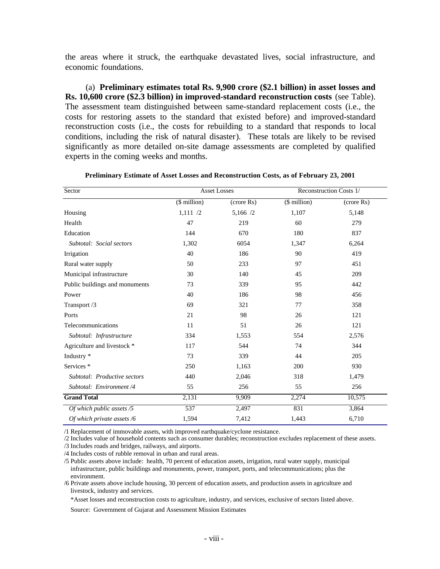the areas where it struck, the earthquake devastated lives, social infrastructure, and economic foundations.

(a) **Preliminary estimates total Rs. 9,900 crore (\$2.1 billion) in asset losses and Rs. 10,600 crore (\$2.3 billion) in improved-standard reconstruction costs** (see Table). The assessment team distinguished between same-standard replacement costs (i.e., the costs for restoring assets to the standard that existed before) and improved-standard reconstruction costs (i.e., the costs for rebuilding to a standard that responds to local conditions, including the risk of natural disaster). These totals are likely to be revised significantly as more detailed on-site damage assessments are completed by qualified experts in the coming weeks and months.

| Sector                         |              | <b>Asset Losses</b> | Reconstruction Costs 1/ |            |  |
|--------------------------------|--------------|---------------------|-------------------------|------------|--|
|                                | (\$ million) | (crore Rs)          | $($$ million $)$        | (crore Rs) |  |
| Housing                        | 1,111/2      | 5,166 /2            | 1,107                   | 5,148      |  |
| Health                         | 47           | 219                 | 60                      | 279        |  |
| Education                      | 144          | 670                 | 180                     | 837        |  |
| Subtotal: Social sectors       | 1,302        | 6054                | 1,347                   | 6,264      |  |
| Irrigation                     | 40           | 186                 | 90                      | 419        |  |
| Rural water supply             | 50           | 233                 | 97                      | 451        |  |
| Municipal infrastructure       | 30           | 140                 | 45                      | 209        |  |
| Public buildings and monuments | 73           | 339                 | 95                      | 442        |  |
| Power                          | 40           | 186                 | 98                      | 456        |  |
| Transport /3                   | 69           | 321                 | 77                      | 358        |  |
| Ports                          | 21           | 98                  | 26                      | 121        |  |
| Telecommunications             | 11           | 51                  | 26                      | 121        |  |
| Subtotal: Infrastructure       | 334          | 1,553               | 554                     | 2,576      |  |
| Agriculture and livestock *    | 117          | 544                 | 74                      | 344        |  |
| Industry *                     | 73           | 339                 | 44                      | 205        |  |
| Services <sup>*</sup>          | 250          | 1,163               | 200                     | 930        |  |
| Subtotal: Productive sectors   | 440          | 2,046               | 318                     | 1,479      |  |
| Subtotal: Environment /4       | 55           | 256                 | 55                      | 256        |  |
| <b>Grand Total</b>             | 2,131        | 9,909               | 2,274                   | 10,575     |  |
| Of which public assets /5      | 537          | 2,497               | 831                     | 3,864      |  |
| Of which private assets /6     | 1,594        | 7,412               | 1,443                   | 6,710      |  |

#### **Preliminary Estimate of Asset Losses and Reconstruction Costs, as of February 23, 2001**

/1 Replacement of immovable assets, with improved earthquake/cyclone resistance.

/2 Includes value of household contents such as consumer durables; reconstruction excludes replacement of these assets.

/3 Includes roads and bridges, railways, and airports.

/4 Includes costs of rubble removal in urban and rural areas.

/5 Public assets above include: health, 70 percent of education assets, irrigation, rural water supply, municipal infrastructure, public buildings and monuments, power, transport, ports, and telecommunications; plus the environment.

/6 Private assets above include housing, 30 percent of education assets, and production assets in agriculture and livestock, industry and services.

\*Asset losses and reconstruction costs to agriculture, industry, and services, exclusive of sectors listed above.

Source: Government of Gujarat and Assessment Mission Estimates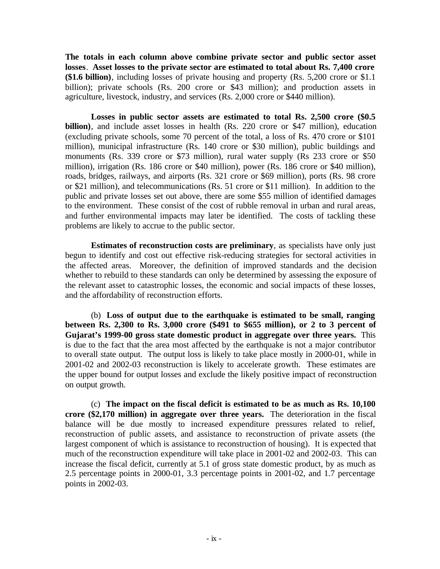**The totals in each column above combine private sector and public sector asset losses**. **Asset losses to the private sector are estimated to total about Rs. 7,400 crore (\$1.6 billion)**, including losses of private housing and property (Rs. 5,200 crore or \$1.1 billion); private schools (Rs. 200 crore or \$43 million); and production assets in agriculture, livestock, industry, and services (Rs. 2,000 crore or \$440 million).

**Losses in public sector assets are estimated to total Rs. 2,500 crore (\$0.5 billion)**, and include asset losses in health (Rs. 220 crore or \$47 million), education (excluding private schools, some 70 percent of the total, a loss of Rs. 470 crore or \$101 million), municipal infrastructure (Rs. 140 crore or \$30 million), public buildings and monuments (Rs. 339 crore or \$73 million), rural water supply (Rs 233 crore or \$50 million), irrigation (Rs. 186 crore or \$40 million), power (Rs. 186 crore or \$40 million), roads, bridges, railways, and airports (Rs. 321 crore or \$69 million), ports (Rs. 98 crore or \$21 million), and telecommunications (Rs. 51 crore or \$11 million). In addition to the public and private losses set out above, there are some \$55 million of identified damages to the environment. These consist of the cost of rubble removal in urban and rural areas, and further environmental impacts may later be identified. The costs of tackling these problems are likely to accrue to the public sector.

**Estimates of reconstruction costs are preliminary**, as specialists have only just begun to identify and cost out effective risk-reducing strategies for sectoral activities in the affected areas. Moreover, the definition of improved standards and the decision whether to rebuild to these standards can only be determined by assessing the exposure of the relevant asset to catastrophic losses, the economic and social impacts of these losses, and the affordability of reconstruction efforts.

(b) **Loss of output due to the earthquake is estimated to be small, ranging between Rs. 2,300 to Rs. 3,000 crore (\$491 to \$655 million), or 2 to 3 percent of Gujarat's 1999-00 gross state domestic product in aggregate over three years.** This is due to the fact that the area most affected by the earthquake is not a major contributor to overall state output. The output loss is likely to take place mostly in 2000-01, while in 2001-02 and 2002-03 reconstruction is likely to accelerate growth. These estimates are the upper bound for output losses and exclude the likely positive impact of reconstruction on output growth.

(c) **The impact on the fiscal deficit is estimated to be as much as Rs. 10,100 crore (\$2,170 million) in aggregate over three years.** The deterioration in the fiscal balance will be due mostly to increased expenditure pressures related to relief, reconstruction of public assets, and assistance to reconstruction of private assets (the largest component of which is assistance to reconstruction of housing). It is expected that much of the reconstruction expenditure will take place in 2001-02 and 2002-03. This can increase the fiscal deficit, currently at 5.1 of gross state domestic product, by as much as 2.5 percentage points in 2000-01, 3.3 percentage points in 2001-02, and 1.7 percentage points in 2002-03.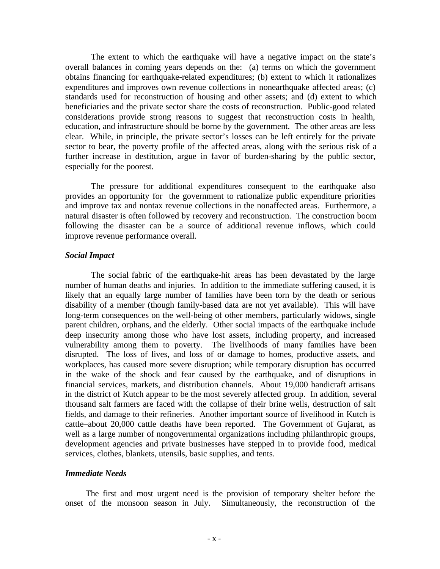The extent to which the earthquake will have a negative impact on the state's overall balances in coming years depends on the: (a) terms on which the government obtains financing for earthquake-related expenditures; (b) extent to which it rationalizes expenditures and improves own revenue collections in nonearthquake affected areas; (c) standards used for reconstruction of housing and other assets; and (d) extent to which beneficiaries and the private sector share the costs of reconstruction. Public-good related considerations provide strong reasons to suggest that reconstruction costs in health, education, and infrastructure should be borne by the government. The other areas are less clear. While, in principle, the private sector's losses can be left entirely for the private sector to bear, the poverty profile of the affected areas, along with the serious risk of a further increase in destitution, argue in favor of burden-sharing by the public sector, especially for the poorest.

The pressure for additional expenditures consequent to the earthquake also provides an opportunity for the government to rationalize public expenditure priorities and improve tax and nontax revenue collections in the nonaffected areas. Furthermore, a natural disaster is often followed by recovery and reconstruction. The construction boom following the disaster can be a source of additional revenue inflows, which could improve revenue performance overall.

#### *Social Impact*

The social fabric of the earthquake-hit areas has been devastated by the large number of human deaths and injuries. In addition to the immediate suffering caused, it is likely that an equally large number of families have been torn by the death or serious disability of a member (though family-based data are not yet available). This will have long-term consequences on the well-being of other members, particularly widows, single parent children, orphans, and the elderly. Other social impacts of the earthquake include deep insecurity among those who have lost assets, including property, and increased vulnerability among them to poverty. The livelihoods of many families have been disrupted. The loss of lives, and loss of or damage to homes, productive assets, and workplaces, has caused more severe disruption; while temporary disruption has occurred in the wake of the shock and fear caused by the earthquake, and of disruptions in financial services, markets, and distribution channels. About 19,000 handicraft artisans in the district of Kutch appear to be the most severely affected group. In addition, several thousand salt farmers are faced with the collapse of their brine wells, destruction of salt fields, and damage to their refineries. Another important source of livelihood in Kutch is cattle–about 20,000 cattle deaths have been reported. The Government of Gujarat, as well as a large number of nongovernmental organizations including philanthropic groups, development agencies and private businesses have stepped in to provide food, medical services, clothes, blankets, utensils, basic supplies, and tents.

#### *Immediate Needs*

The first and most urgent need is the provision of temporary shelter before the onset of the monsoon season in July. Simultaneously, the reconstruction of the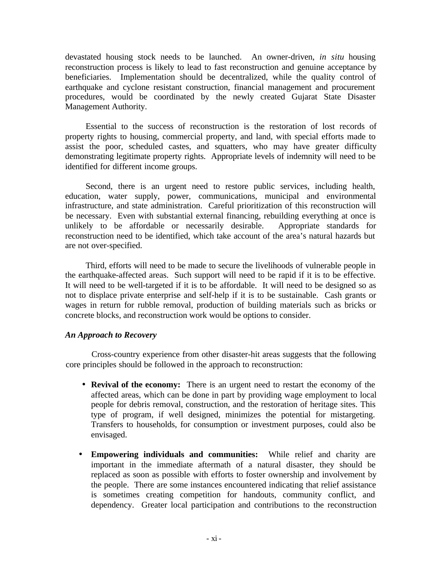devastated housing stock needs to be launched. An owner-driven, *in situ* housing reconstruction process is likely to lead to fast reconstruction and genuine acceptance by beneficiaries. Implementation should be decentralized, while the quality control of earthquake and cyclone resistant construction, financial management and procurement procedures, would be coordinated by the newly created Gujarat State Disaster Management Authority.

Essential to the success of reconstruction is the restoration of lost records of property rights to housing, commercial property, and land, with special efforts made to assist the poor, scheduled castes, and squatters, who may have greater difficulty demonstrating legitimate property rights. Appropriate levels of indemnity will need to be identified for different income groups.

Second, there is an urgent need to restore public services, including health, education, water supply, power, communications, municipal and environmental infrastructure, and state administration. Careful prioritization of this reconstruction will be necessary. Even with substantial external financing, rebuilding everything at once is unlikely to be affordable or necessarily desirable. Appropriate standards for reconstruction need to be identified, which take account of the area's natural hazards but are not over-specified.

Third, efforts will need to be made to secure the livelihoods of vulnerable people in the earthquake-affected areas. Such support will need to be rapid if it is to be effective. It will need to be well-targeted if it is to be affordable. It will need to be designed so as not to displace private enterprise and self-help if it is to be sustainable. Cash grants or wages in return for rubble removal, production of building materials such as bricks or concrete blocks, and reconstruction work would be options to consider.

#### *An Approach to Recovery*

Cross-country experience from other disaster-hit areas suggests that the following core principles should be followed in the approach to reconstruction:

- **Revival of the economy:** There is an urgent need to restart the economy of the affected areas, which can be done in part by providing wage employment to local people for debris removal, construction, and the restoration of heritage sites. This type of program, if well designed, minimizes the potential for mistargeting. Transfers to households, for consumption or investment purposes, could also be envisaged.
- **Empowering individuals and communities:** While relief and charity are important in the immediate aftermath of a natural disaster, they should be replaced as soon as possible with efforts to foster ownership and involvement by the people. There are some instances encountered indicating that relief assistance is sometimes creating competition for handouts, community conflict, and dependency. Greater local participation and contributions to the reconstruction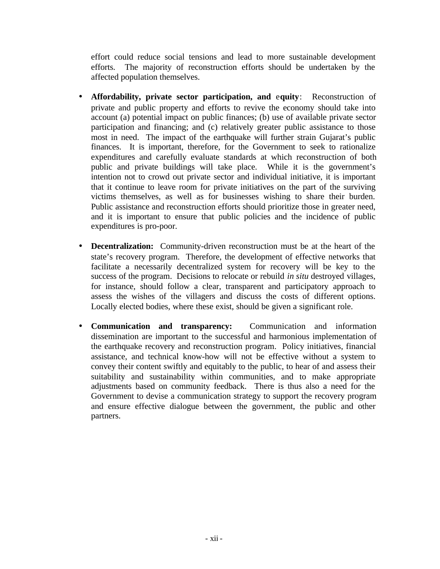effort could reduce social tensions and lead to more sustainable development efforts. The majority of reconstruction efforts should be undertaken by the affected population themselves.

- **Affordability, private sector participation, and** e**quity**: Reconstruction of private and public property and efforts to revive the economy should take into account (a) potential impact on public finances; (b) use of available private sector participation and financing; and (c) relatively greater public assistance to those most in need. The impact of the earthquake will further strain Gujarat's public finances. It is important, therefore, for the Government to seek to rationalize expenditures and carefully evaluate standards at which reconstruction of both public and private buildings will take place. While it is the government's intention not to crowd out private sector and individual initiative, it is important that it continue to leave room for private initiatives on the part of the surviving victims themselves, as well as for businesses wishing to share their burden. Public assistance and reconstruction efforts should prioritize those in greater need, and it is important to ensure that public policies and the incidence of public expenditures is pro-poor.
- **Decentralization:** Community-driven reconstruction must be at the heart of the state's recovery program. Therefore, the development of effective networks that facilitate a necessarily decentralized system for recovery will be key to the success of the program. Decisions to relocate or rebuild *in situ* destroyed villages, for instance, should follow a clear, transparent and participatory approach to assess the wishes of the villagers and discuss the costs of different options. Locally elected bodies, where these exist, should be given a significant role.
- **Communication and transparency:** Communication and information dissemination are important to the successful and harmonious implementation of the earthquake recovery and reconstruction program. Policy initiatives, financial assistance, and technical know-how will not be effective without a system to convey their content swiftly and equitably to the public, to hear of and assess their suitability and sustainability within communities, and to make appropriate adjustments based on community feedback. There is thus also a need for the Government to devise a communication strategy to support the recovery program and ensure effective dialogue between the government, the public and other partners.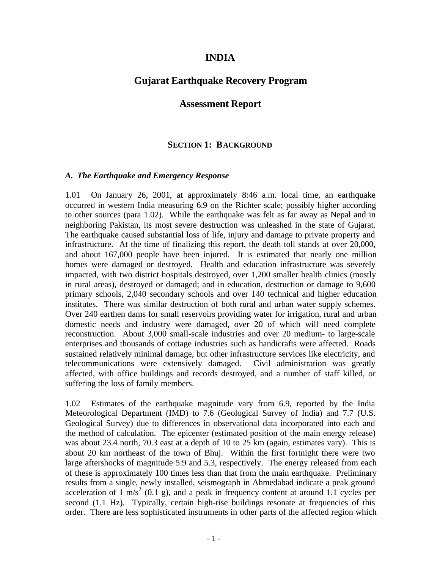# **INDIA**

## **Gujarat Earthquake Recovery Program**

### **Assessment Report**

#### **SECTION 1: BACKGROUND**

#### *A. The Earthquake and Emergency Response*

1.01 On January 26, 2001, at approximately 8:46 a.m. local time, an earthquake occurred in western India measuring 6.9 on the Richter scale; possibly higher according to other sources (para 1.02). While the earthquake was felt as far away as Nepal and in neighboring Pakistan, its most severe destruction was unleashed in the state of Gujarat. The earthquake caused substantial loss of life, injury and damage to private property and infrastructure. At the time of finalizing this report, the death toll stands at over 20,000, and about 167,000 people have been injured. It is estimated that nearly one million homes were damaged or destroyed. Health and education infrastructure was severely impacted, with two district hospitals destroyed, over 1,200 smaller health clinics (mostly in rural areas), destroyed or damaged; and in education, destruction or damage to 9,600 primary schools, 2,040 secondary schools and over 140 technical and higher education institutes. There was similar destruction of both rural and urban water supply schemes. Over 240 earthen dams for small reservoirs providing water for irrigation, rural and urban domestic needs and industry were damaged, over 20 of which will need complete reconstruction. About 3,000 small-scale industries and over 20 medium- to large-scale enterprises and thousands of cottage industries such as handicrafts were affected. Roads sustained relatively minimal damage, but other infrastructure services like electricity, and telecommunications were extensively damaged. Civil administration was greatly affected, with office buildings and records destroyed, and a number of staff killed, or suffering the loss of family members.

1.02 Estimates of the earthquake magnitude vary from 6.9, reported by the India Meteorological Department (IMD) to 7.6 (Geological Survey of India) and 7.7 (U.S. Geological Survey) due to differences in observational data incorporated into each and the method of calculation. The epicenter (estimated position of the main energy release) was about 23.4 north, 70.3 east at a depth of 10 to 25 km (again, estimates vary). This is about 20 km northeast of the town of Bhuj. Within the first fortnight there were two large aftershocks of magnitude 5.9 and 5.3, respectively. The energy released from each of these is approximately 100 times less than that from the main earthquake. Preliminary results from a single, newly installed, seismograph in Ahmedabad indicate a peak ground acceleration of 1 m/s<sup>2</sup> (0.1 g), and a peak in frequency content at around 1.1 cycles per second (1.1 Hz). Typically, certain high-rise buildings resonate at frequencies of this order. There are less sophisticated instruments in other parts of the affected region which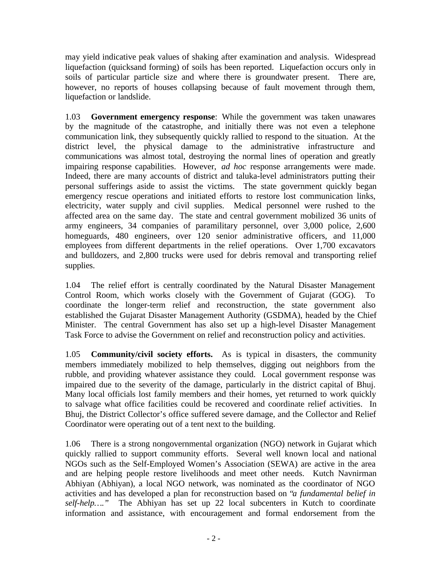may yield indicative peak values of shaking after examination and analysis. Widespread liquefaction (quicksand forming) of soils has been reported. Liquefaction occurs only in soils of particular particle size and where there is groundwater present. There are, however, no reports of houses collapsing because of fault movement through them, liquefaction or landslide.

1.03 **Government emergency response**: While the government was taken unawares by the magnitude of the catastrophe, and initially there was not even a telephone communication link, they subsequently quickly rallied to respond to the situation. At the district level, the physical damage to the administrative infrastructure and communications was almost total, destroying the normal lines of operation and greatly impairing response capabilities. However, *ad hoc* response arrangements were made. Indeed, there are many accounts of district and taluka-level administrators putting their personal sufferings aside to assist the victims. The state government quickly began emergency rescue operations and initiated efforts to restore lost communication links, electricity, water supply and civil supplies. Medical personnel were rushed to the affected area on the same day. The state and central government mobilized 36 units of army engineers, 34 companies of paramilitary personnel, over 3,000 police, 2,600 homeguards, 480 engineers, over 120 senior administrative officers, and 11,000 employees from different departments in the relief operations. Over 1,700 excavators and bulldozers, and 2,800 trucks were used for debris removal and transporting relief supplies.

1.04 The relief effort is centrally coordinated by the Natural Disaster Management Control Room, which works closely with the Government of Gujarat (GOG). To coordinate the longer-term relief and reconstruction, the state government also established the Gujarat Disaster Management Authority (GSDMA), headed by the Chief Minister. The central Government has also set up a high-level Disaster Management Task Force to advise the Government on relief and reconstruction policy and activities.

1.05 **Community/civil society efforts.** As is typical in disasters, the community members immediately mobilized to help themselves, digging out neighbors from the rubble, and providing whatever assistance they could. Local government response was impaired due to the severity of the damage, particularly in the district capital of Bhuj. Many local officials lost family members and their homes, yet returned to work quickly to salvage what office facilities could be recovered and coordinate relief activities. In Bhuj, the District Collector's office suffered severe damage, and the Collector and Relief Coordinator were operating out of a tent next to the building.

1.06 There is a strong nongovernmental organization (NGO) network in Gujarat which quickly rallied to support community efforts. Several well known local and national NGOs such as the Self-Employed Women's Association (SEWA) are active in the area and are helping people restore livelihoods and meet other needs. Kutch Navnirman Abhiyan (Abhiyan), a local NGO network, was nominated as the coordinator of NGO activities and has developed a plan for reconstruction based on "*a fundamental belief in self-help…."* The Abhiyan has set up 22 local subcenters in Kutch to coordinate information and assistance, with encouragement and formal endorsement from the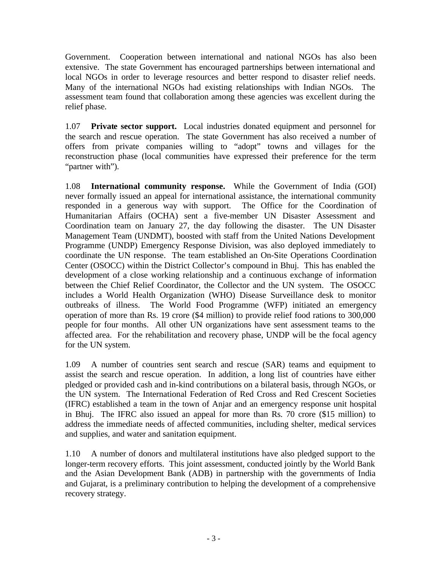Government. Cooperation between international and national NGOs has also been extensive. The state Government has encouraged partnerships between international and local NGOs in order to leverage resources and better respond to disaster relief needs. Many of the international NGOs had existing relationships with Indian NGOs. The assessment team found that collaboration among these agencies was excellent during the relief phase.

1.07 **Private sector support.** Local industries donated equipment and personnel for the search and rescue operation. The state Government has also received a number of offers from private companies willing to "adopt" towns and villages for the reconstruction phase (local communities have expressed their preference for the term "partner with").

1.08 **International community response.** While the Government of India (GOI) never formally issued an appeal for international assistance, the international community responded in a generous way with support. The Office for the Coordination of Humanitarian Affairs (OCHA) sent a five-member UN Disaster Assessment and Coordination team on January 27, the day following the disaster. The UN Disaster Management Team (UNDMT), boosted with staff from the United Nations Development Programme (UNDP) Emergency Response Division, was also deployed immediately to coordinate the UN response. The team established an On-Site Operations Coordination Center (OSOCC) within the District Collector's compound in Bhuj. This has enabled the development of a close working relationship and a continuous exchange of information between the Chief Relief Coordinator, the Collector and the UN system. The OSOCC includes a World Health Organization (WHO) Disease Surveillance desk to monitor outbreaks of illness. The World Food Programme (WFP) initiated an emergency operation of more than Rs. 19 crore (\$4 million) to provide relief food rations to 300,000 people for four months. All other UN organizations have sent assessment teams to the affected area. For the rehabilitation and recovery phase, UNDP will be the focal agency for the UN system.

1.09 A number of countries sent search and rescue (SAR) teams and equipment to assist the search and rescue operation. In addition, a long list of countries have either pledged or provided cash and in-kind contributions on a bilateral basis, through NGOs, or the UN system. The International Federation of Red Cross and Red Crescent Societies (IFRC) established a team in the town of Anjar and an emergency response unit hospital in Bhuj. The IFRC also issued an appeal for more than Rs. 70 crore (\$15 million) to address the immediate needs of affected communities, including shelter, medical services and supplies, and water and sanitation equipment.

1.10 A number of donors and multilateral institutions have also pledged support to the longer-term recovery efforts. This joint assessment, conducted jointly by the World Bank and the Asian Development Bank (ADB) in partnership with the governments of India and Gujarat, is a preliminary contribution to helping the development of a comprehensive recovery strategy.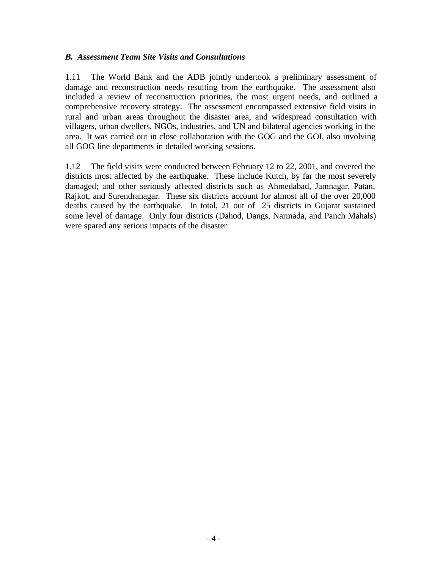#### *B. Assessment Team Site Visits and Consultations*

1.11 The World Bank and the ADB jointly undertook a preliminary assessment of damage and reconstruction needs resulting from the earthquake. The assessment also included a review of reconstruction priorities, the most urgent needs, and outlined a comprehensive recovery strategy. The assessment encompassed extensive field visits in rural and urban areas throughout the disaster area, and widespread consultation with villagers, urban dwellers, NGOs, industries, and UN and bilateral agencies working in the area. It was carried out in close collaboration with the GOG and the GOI, also involving all GOG line departments in detailed working sessions.

1.12 The field visits were conducted between February 12 to 22, 2001, and covered the districts most affected by the earthquake. These include Kutch, by far the most severely damaged; and other seriously affected districts such as Ahmedabad, Jamnagar, Patan, Rajkot, and Surendranagar. These six districts account for almost all of the over 20,000 deaths caused by the earthquake. In total, 21 out of 25 districts in Gujarat sustained some level of damage. Only four districts (Dahod, Dangs, Narmada, and Panch Mahals) were spared any serious impacts of the disaster.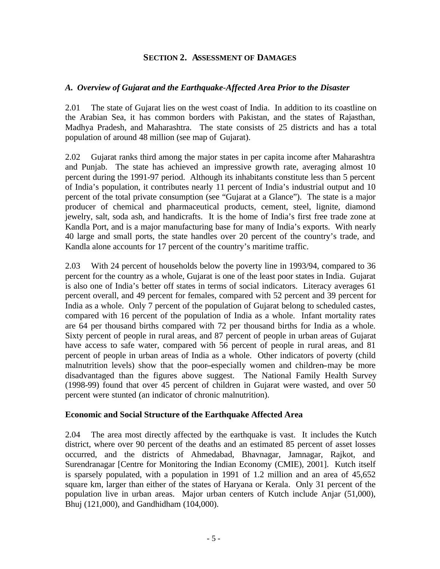#### **SECTION 2. ASSESSMENT OF DAMAGES**

#### *A. Overview of Gujarat and the Earthquake-Affected Area Prior to the Disaster*

2.01 The state of Gujarat lies on the west coast of India. In addition to its coastline on the Arabian Sea, it has common borders with Pakistan, and the states of Rajasthan, Madhya Pradesh, and Maharashtra. The state consists of 25 districts and has a total population of around 48 million (see map of Gujarat).

2.02 Gujarat ranks third among the major states in per capita income after Maharashtra and Punjab. The state has achieved an impressive growth rate, averaging almost 10 percent during the 1991-97 period. Although its inhabitants constitute less than 5 percent of India's population, it contributes nearly 11 percent of India's industrial output and 10 percent of the total private consumption (see "Gujarat at a Glance"). The state is a major producer of chemical and pharmaceutical products, cement, steel, lignite, diamond jewelry, salt, soda ash, and handicrafts. It is the home of India's first free trade zone at Kandla Port, and is a major manufacturing base for many of India's exports. With nearly 40 large and small ports, the state handles over 20 percent of the country's trade, and Kandla alone accounts for 17 percent of the country's maritime traffic.

2.03 With 24 percent of households below the poverty line in 1993/94, compared to 36 percent for the country as a whole, Gujarat is one of the least poor states in India. Gujarat is also one of India's better off states in terms of social indicators. Literacy averages 61 percent overall, and 49 percent for females, compared with 52 percent and 39 percent for India as a whole. Only 7 percent of the population of Gujarat belong to scheduled castes, compared with 16 percent of the population of India as a whole. Infant mortality rates are 64 per thousand births compared with 72 per thousand births for India as a whole. Sixty percent of people in rural areas, and 87 percent of people in urban areas of Gujarat have access to safe water, compared with 56 percent of people in rural areas, and 81 percent of people in urban areas of India as a whole. Other indicators of poverty (child malnutrition levels) show that the poor**–**especially women and children**–**may be more disadvantaged than the figures above suggest. The National Family Health Survey (1998-99) found that over 45 percent of children in Gujarat were wasted, and over 50 percent were stunted (an indicator of chronic malnutrition).

#### **Economic and Social Structure of the Earthquake Affected Area**

2.04 The area most directly affected by the earthquake is vast. It includes the Kutch district, where over 90 percent of the deaths and an estimated 85 percent of asset losses occurred, and the districts of Ahmedabad, Bhavnagar, Jamnagar, Rajkot, and Surendranagar [Centre for Monitoring the Indian Economy (CMIE), 2001]. Kutch itself is sparsely populated, with a population in 1991 of 1.2 million and an area of 45,652 square km, larger than either of the states of Haryana or Kerala. Only 31 percent of the population live in urban areas. Major urban centers of Kutch include Anjar (51,000), Bhuj (121,000), and Gandhidham (104,000).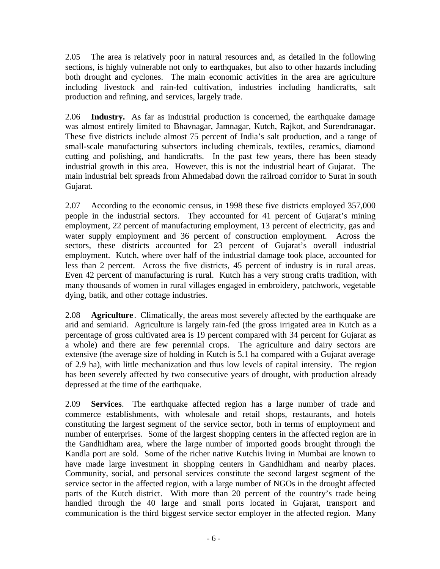2.05 The area is relatively poor in natural resources and, as detailed in the following sections, is highly vulnerable not only to earthquakes, but also to other hazards including both drought and cyclones. The main economic activities in the area are agriculture including livestock and rain-fed cultivation, industries including handicrafts, salt production and refining, and services, largely trade.

2.06 **Industry.** As far as industrial production is concerned, the earthquake damage was almost entirely limited to Bhavnagar, Jamnagar, Kutch, Rajkot, and Surendranagar. These five districts include almost 75 percent of India's salt production, and a range of small-scale manufacturing subsectors including chemicals, textiles, ceramics, diamond cutting and polishing, and handicrafts. In the past few years, there has been steady industrial growth in this area. However, this is not the industrial heart of Gujarat. The main industrial belt spreads from Ahmedabad down the railroad corridor to Surat in south Gujarat.

2.07 According to the economic census, in 1998 these five districts employed 357,000 people in the industrial sectors. They accounted for 41 percent of Gujarat's mining employment, 22 percent of manufacturing employment, 13 percent of electricity, gas and water supply employment and 36 percent of construction employment. Across the sectors, these districts accounted for 23 percent of Gujarat's overall industrial employment. Kutch, where over half of the industrial damage took place, accounted for less than 2 percent. Across the five districts, 45 percent of industry is in rural areas. Even 42 percent of manufacturing is rural. Kutch has a very strong crafts tradition, with many thousands of women in rural villages engaged in embroidery, patchwork, vegetable dying, batik, and other cottage industries.

2.08 **Agriculture** .Climatically, the areas most severely affected by the earthquake are arid and semiarid. Agriculture is largely rain-fed (the gross irrigated area in Kutch as a percentage of gross cultivated area is 19 percent compared with 34 percent for Gujarat as a whole) and there are few perennial crops. The agriculture and dairy sectors are extensive (the average size of holding in Kutch is 5.1 ha compared with a Gujarat average of 2.9 ha), with little mechanization and thus low levels of capital intensity. The region has been severely affected by two consecutive years of drought, with production already depressed at the time of the earthquake.

2.09 **Services**.The earthquake affected region has a large number of trade and commerce establishments, with wholesale and retail shops, restaurants, and hotels constituting the largest segment of the service sector, both in terms of employment and number of enterprises. Some of the largest shopping centers in the affected region are in the Gandhidham area, where the large number of imported goods brought through the Kandla port are sold. Some of the richer native Kutchis living in Mumbai are known to have made large investment in shopping centers in Gandhidham and nearby places. Community, social, and personal services constitute the second largest segment of the service sector in the affected region, with a large number of NGOs in the drought affected parts of the Kutch district. With more than 20 percent of the country's trade being handled through the 40 large and small ports located in Gujarat, transport and communication is the third biggest service sector employer in the affected region. Many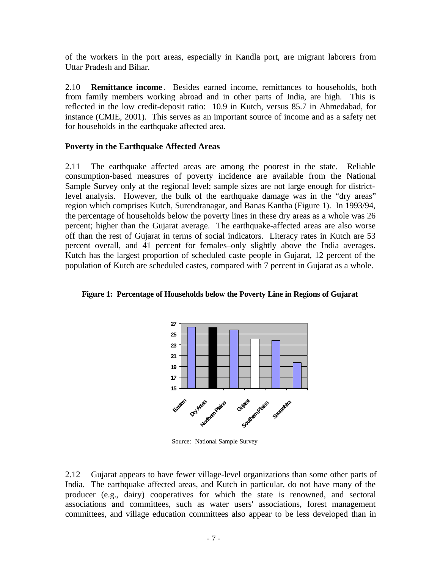of the workers in the port areas, especially in Kandla port, are migrant laborers from Uttar Pradesh and Bihar.

2.10 **Remittance income** . Besides earned income, remittances to households, both from family members working abroad and in other parts of India, are high. This is reflected in the low credit-deposit ratio: 10.9 in Kutch, versus 85.7 in Ahmedabad, for instance (CMIE, 2001). This serves as an important source of income and as a safety net for households in the earthquake affected area.

#### **Poverty in the Earthquake Affected Areas**

2.11 The earthquake affected areas are among the poorest in the state. Reliable consumption-based measures of poverty incidence are available from the National Sample Survey only at the regional level; sample sizes are not large enough for districtlevel analysis. However, the bulk of the earthquake damage was in the "dry areas" region which comprises Kutch, Surendranagar, and Banas Kantha (Figure 1). In 1993/94, the percentage of households below the poverty lines in these dry areas as a whole was 26 percent; higher than the Gujarat average. The earthquake-affected areas are also worse off than the rest of Gujarat in terms of social indicators. Literacy rates in Kutch are 53 percent overall, and 41 percent for females–only slightly above the India averages. Kutch has the largest proportion of scheduled caste people in Gujarat, 12 percent of the population of Kutch are scheduled castes, compared with 7 percent in Gujarat as a whole.



**Figure 1: Percentage of Households below the Poverty Line in Regions of Gujarat**

Source: National Sample Survey

2.12 Gujarat appears to have fewer village-level organizations than some other parts of India. The earthquake affected areas, and Kutch in particular, do not have many of the producer (e.g., dairy) cooperatives for which the state is renowned, and sectoral associations and committees, such as water users' associations, forest management committees, and village education committees also appear to be less developed than in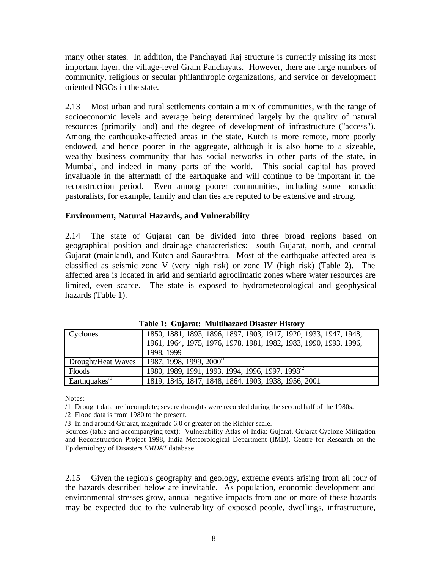many other states. In addition, the Panchayati Raj structure is currently missing its most important layer, the village-level Gram Panchayats. However, there are large numbers of community, religious or secular philanthropic organizations, and service or development oriented NGOs in the state.

2.13 Most urban and rural settlements contain a mix of communities, with the range of socioeconomic levels and average being determined largely by the quality of natural resources (primarily land) and the degree of development of infrastructure ("access"). Among the earthquake-affected areas in the state, Kutch is more remote, more poorly endowed, and hence poorer in the aggregate, although it is also home to a sizeable, wealthy business community that has social networks in other parts of the state, in Mumbai, and indeed in many parts of the world. This social capital has proved invaluable in the aftermath of the earthquake and will continue to be important in the reconstruction period. Even among poorer communities, including some nomadic pastoralists, for example, family and clan ties are reputed to be extensive and strong.

#### **Environment, Natural Hazards, and Vulnerability**

2.14 The state of Gujarat can be divided into three broad regions based on geographical position and drainage characteristics: south Gujarat, north, and central Gujarat (mainland), and Kutch and Saurashtra. Most of the earthquake affected area is classified as seismic zone V (very high risk) or zone IV (high risk) (Table 2). The affected area is located in arid and semiarid agroclimatic zones where water resources are limited, even scarce. The state is exposed to hydrometeorological and geophysical hazards (Table 1).

| Tuble 11 Output als Triummatur a Dibublei Thibliot t |                                                                                    |  |  |  |
|------------------------------------------------------|------------------------------------------------------------------------------------|--|--|--|
| <b>Cyclones</b>                                      | 1850, 1881, 1893, 1896, 1897, 1903, 1917, 1920, 1933, 1947, 1948,                  |  |  |  |
|                                                      | 1961, 1964, 1975, 1976, 1978, 1981, 1982, 1983, 1990, 1993, 1996,                  |  |  |  |
|                                                      | 1998, 1999                                                                         |  |  |  |
| Drought/Heat Waves                                   | $1987, 1998, 1999, 2000$ <sup>1</sup>                                              |  |  |  |
| Floods                                               | 1980, 1989, 1991, 1993, 1994, 1996, 1997, 1998 <sup><math>\frac{1}{2}</math></sup> |  |  |  |
| Earthquakes <sup><math>3</math></sup>                | 1819, 1845, 1847, 1848, 1864, 1903, 1938, 1956, 2001                               |  |  |  |

**Table 1: Gujarat: Multihazard Disaster History**

Notes:

/1 Drought data are incomplete; severe droughts were recorded during the second half of the 1980s.

/2 Flood data is from 1980 to the present.

/3 In and around Gujarat, magnitude 6.0 or greater on the Richter scale.

Sources (table and accompanying text): Vulnerability Atlas of India: Gujarat, Gujarat Cyclone Mitigation and Reconstruction Project 1998, India Meteorological Department (IMD), Centre for Research on the Epidemiology of Disasters *EMDAT* database.

2.15 Given the region's geography and geology, extreme events arising from all four of the hazards described below are inevitable. As population, economic development and environmental stresses grow, annual negative impacts from one or more of these hazards may be expected due to the vulnerability of exposed people, dwellings, infrastructure,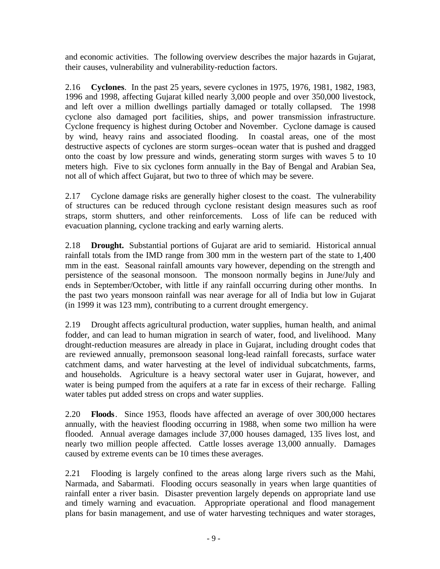and economic activities. The following overview describes the major hazards in Gujarat, their causes, vulnerability and vulnerability-reduction factors.

2.16 **Cyclones**. In the past 25 years, severe cyclones in 1975, 1976, 1981, 1982, 1983, 1996 and 1998, affecting Gujarat killed nearly 3,000 people and over 350,000 livestock, and left over a million dwellings partially damaged or totally collapsed. The 1998 cyclone also damaged port facilities, ships, and power transmission infrastructure. Cyclone frequency is highest during October and November. Cyclone damage is caused by wind, heavy rains and associated flooding. In coastal areas, one of the most destructive aspects of cyclones are storm surges–ocean water that is pushed and dragged onto the coast by low pressure and winds, generating storm surges with waves 5 to 10 meters high. Five to six cyclones form annually in the Bay of Bengal and Arabian Sea, not all of which affect Gujarat, but two to three of which may be severe.

2.17 Cyclone damage risks are generally higher closest to the coast. The vulnerability of structures can be reduced through cyclone resistant design measures such as roof straps, storm shutters, and other reinforcements. Loss of life can be reduced with evacuation planning, cyclone tracking and early warning alerts.

2.18 **Drought.** Substantial portions of Gujarat are arid to semiarid. Historical annual rainfall totals from the IMD range from 300 mm in the western part of the state to 1,400 mm in the east. Seasonal rainfall amounts vary however, depending on the strength and persistence of the seasonal monsoon. The monsoon normally begins in June/July and ends in September/October, with little if any rainfall occurring during other months. In the past two years monsoon rainfall was near average for all of India but low in Gujarat (in 1999 it was 123 mm), contributing to a current drought emergency.

2.19 Drought affects agricultural production, water supplies, human health, and animal fodder, and can lead to human migration in search of water, food, and livelihood. Many drought-reduction measures are already in place in Gujarat, including drought codes that are reviewed annually, premonsoon seasonal long-lead rainfall forecasts, surface water catchment dams, and water harvesting at the level of individual subcatchments, farms, and households. Agriculture is a heavy sectoral water user in Gujarat, however, and water is being pumped from the aquifers at a rate far in excess of their recharge. Falling water tables put added stress on crops and water supplies.

2.20 **Floods**. Since 1953, floods have affected an average of over 300,000 hectares annually, with the heaviest flooding occurring in 1988, when some two million ha were flooded. Annual average damages include 37,000 houses damaged, 135 lives lost, and nearly two million people affected. Cattle losses average 13,000 annually. Damages caused by extreme events can be 10 times these averages.

2.21 Flooding is largely confined to the areas along large rivers such as the Mahi, Narmada, and Sabarmati. Flooding occurs seasonally in years when large quantities of rainfall enter a river basin. Disaster prevention largely depends on appropriate land use and timely warning and evacuation. Appropriate operational and flood management plans for basin management, and use of water harvesting techniques and water storages,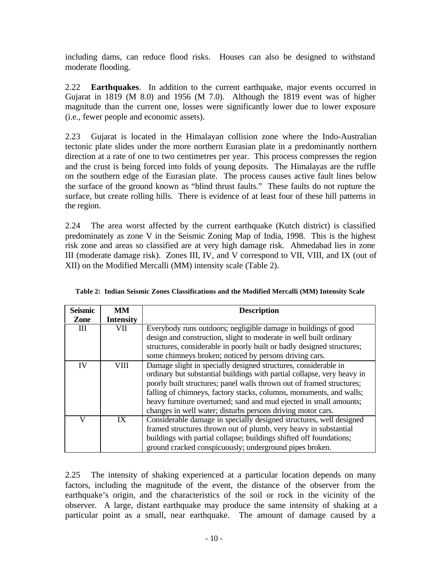including dams, can reduce flood risks. Houses can also be designed to withstand moderate flooding.

2.22 **Earthquakes**. In addition to the current earthquake, major events occurred in Gujarat in 1819 (M 8.0) and 1956 (M 7.0). Although the 1819 event was of higher magnitude than the current one, losses were significantly lower due to lower exposure (i.e., fewer people and economic assets).

2.23 Gujarat is located in the Himalayan collision zone where the Indo-Australian tectonic plate slides under the more northern Eurasian plate in a predominantly northern direction at a rate of one to two centimetres per year. This process compresses the region and the crust is being forced into folds of young deposits. The Himalayas are the ruffle on the southern edge of the Eurasian plate. The process causes active fault lines below the surface of the ground known as "blind thrust faults." These faults do not rupture the surface, but create rolling hills. There is evidence of at least four of these hill patterns in the region.

2.24 The area worst affected by the current earthquake (Kutch district) is classified predominately as zone V in the Seismic Zoning Map of India, 1998. This is the highest risk zone and areas so classified are at very high damage risk. Ahmedabad lies in zone III (moderate damage risk). Zones III, IV, and V correspond to VII, VIII, and IX (out of XII) on the Modified Mercalli (MM) intensity scale (Table 2).

| <b>Seismic</b> | <b>MM</b>        | <b>Description</b>                                                      |
|----------------|------------------|-------------------------------------------------------------------------|
| Zone           | <b>Intensity</b> |                                                                         |
| Ш              | VII              | Everybody runs outdoors; negligible damage in buildings of good         |
|                |                  | design and construction, slight to moderate in well built ordinary      |
|                |                  | structures, considerable in poorly built or badly designed structures;  |
|                |                  | some chimneys broken; noticed by persons driving cars.                  |
| IV             | VIII             | Damage slight in specially designed structures, considerable in         |
|                |                  | ordinary but substantial buildings with partial collapse, very heavy in |
|                |                  | poorly built structures; panel walls thrown out of framed structures;   |
|                |                  | falling of chimneys, factory stacks, columns, monuments, and walls;     |
|                |                  | heavy furniture overturned; sand and mud ejected in small amounts;      |
|                |                  | changes in well water; disturbs persons driving motor cars.             |
| V              | IX               | Considerable damage in specially designed structures, well designed     |
|                |                  | framed structures thrown out of plumb, very heavy in substantial        |
|                |                  | buildings with partial collapse; buildings shifted off foundations;     |
|                |                  | ground cracked conspicuously; underground pipes broken.                 |

**Table 2: Indian Seismic Zones Classifications and the Modified Mercalli (MM) Intensity Scale**

2.25 The intensity of shaking experienced at a particular location depends on many factors, including the magnitude of the event, the distance of the observer from the earthquake's origin, and the characteristics of the soil or rock in the vicinity of the observer. A large, distant earthquake may produce the same intensity of shaking at a particular point as a small, near earthquake. The amount of damage caused by a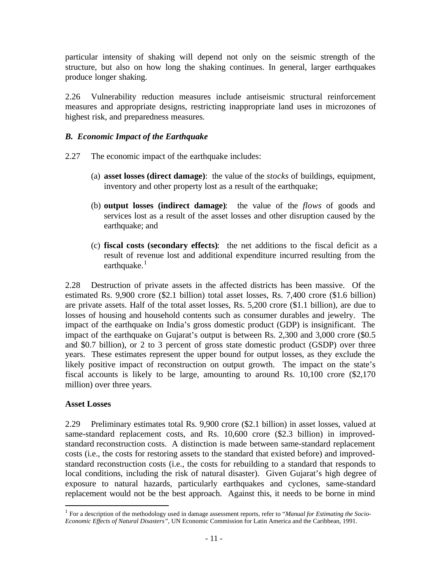particular intensity of shaking will depend not only on the seismic strength of the structure, but also on how long the shaking continues. In general, larger earthquakes produce longer shaking.

2.26 Vulnerability reduction measures include antiseismic structural reinforcement measures and appropriate designs, restricting inappropriate land uses in microzones of highest risk, and preparedness measures.

### *B. Economic Impact of the Earthquake*

- 2.27 The economic impact of the earthquake includes:
	- (a) **asset losses (direct damage)**: the value of the *stocks* of buildings, equipment, inventory and other property lost as a result of the earthquake;
	- (b) **output losses (indirect damage)**: the value of the *flows* of goods and services lost as a result of the asset losses and other disruption caused by the earthquake; and
	- (c) **fiscal costs (secondary effects)**: the net additions to the fiscal deficit as a result of revenue lost and additional expenditure incurred resulting from the earthquake. $1$

2.28 Destruction of private assets in the affected districts has been massive. Of the estimated Rs. 9,900 crore (\$2.1 billion) total asset losses, Rs. 7,400 crore (\$1.6 billion) are private assets. Half of the total asset losses, Rs. 5,200 crore (\$1.1 billion), are due to losses of housing and household contents such as consumer durables and jewelry. The impact of the earthquake on India's gross domestic product (GDP) is insignificant. The impact of the earthquake on Gujarat's output is between Rs. 2,300 and 3,000 crore (\$0.5 and \$0.7 billion), or 2 to 3 percent of gross state domestic product (GSDP) over three years. These estimates represent the upper bound for output losses, as they exclude the likely positive impact of reconstruction on output growth. The impact on the state's fiscal accounts is likely to be large, amounting to around Rs. 10,100 crore (\$2,170 million) over three years.

#### **Asset Losses**

 $\overline{a}$ 

2.29 Preliminary estimates total Rs. 9,900 crore (\$2.1 billion) in asset losses, valued at same-standard replacement costs, and Rs. 10,600 crore (\$2.3 billion) in improvedstandard reconstruction costs. A distinction is made between same-standard replacement costs (i.e., the costs for restoring assets to the standard that existed before) and improvedstandard reconstruction costs (i.e., the costs for rebuilding to a standard that responds to local conditions, including the risk of natural disaster). Given Gujarat's high degree of exposure to natural hazards, particularly earthquakes and cyclones, same-standard replacement would not be the best approach. Against this, it needs to be borne in mind

<sup>&</sup>lt;sup>1</sup> For a description of the methodology used in damage assessment reports, refer to "*Manual for Estimating the Socio-Economic Effects of Natural Disasters"*, UN Economic Commission for Latin America and the Caribbean, 1991.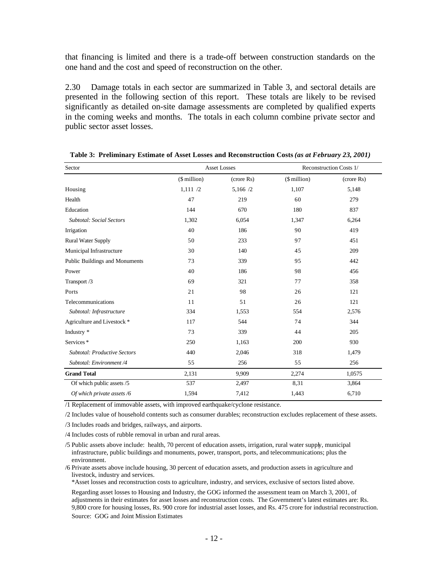that financing is limited and there is a trade-off between construction standards on the one hand and the cost and speed of reconstruction on the other.

2.30 Damage totals in each sector are summarized in Table 3, and sectoral details are presented in the following section of this report. These totals are likely to be revised significantly as detailed on-site damage assessments are completed by qualified experts in the coming weeks and months. The totals in each column combine private sector and public sector asset losses.

| Sector                                 |                   | <b>Asset Losses</b> | Reconstruction Costs 1/ |            |  |
|----------------------------------------|-------------------|---------------------|-------------------------|------------|--|
|                                        | $(\$$ million $)$ | (crore Rs)          | $($$ million $)$        | (crore Rs) |  |
| Housing                                | 1,111/2           | 5,166 /2            | 1,107                   | 5,148      |  |
| Health                                 | 47                | 219                 | 60                      | 279        |  |
| Education                              | 144               | 670                 | 180                     | 837        |  |
| <b>Subtotal: Social Sectors</b>        | 1,302             | 6,054               | 1,347                   | 6,264      |  |
| Irrigation                             | 40                | 186                 | 90                      | 419        |  |
| <b>Rural Water Supply</b>              | 50                | 233                 | 97                      | 451        |  |
| Municipal Infrastructure               | 30                | 140                 | 45                      | 209        |  |
| Public Buildings and Monuments         | 73                | 339                 | 95                      | 442        |  |
| Power                                  | 40                | 186                 | 98                      | 456        |  |
| Transport /3                           | 69                | 321                 | 77                      | 358        |  |
| Ports                                  | 21                | 98                  | 26                      | 121        |  |
| Telecommunications                     | 11                | 51                  | 26                      | 121        |  |
| Subtotal: Infrastructure               | 334               | 1,553               | 554                     | 2,576      |  |
| Agriculture and Livestock <sup>*</sup> | 117               | 544                 | 74                      | 344        |  |
| Industry *                             | 73                | 339                 | 44                      | 205        |  |
| Services*                              | 250               | 1,163               | 200                     | 930        |  |
| <b>Subtotal: Productive Sectors</b>    | 440               | 2,046               | 318                     | 1,479      |  |
| Subtotal: Environment /4               | 55                | 256                 | 55                      | 256        |  |
| <b>Grand Total</b>                     | 2,131             | 9,909               | 2,274                   | 1,0575     |  |
| Of which public assets /5              | 537               | 2,497               | 8,31                    | 3,864      |  |
| Of which private assets /6             | 1,594             | 7,412               | 1,443                   | 6,710      |  |

| Table 3: Preliminary Estimate of Asset Losses and Reconstruction Costs (as at February 23, 2001) |  |
|--------------------------------------------------------------------------------------------------|--|
|--------------------------------------------------------------------------------------------------|--|

/1 Replacement of immovable assets, with improved earthquake/cyclone resistance.

/2 Includes value of household contents such as consumer durables; reconstruction excludes replacement of these assets.

/3 Includes roads and bridges, railways, and airports.

/4 Includes costs of rubble removal in urban and rural areas.

/5 Public assets above include: health, 70 percent of education assets, irrigation, rural water supply, municipal infrastructure, public buildings and monuments, power, transport, ports, and telecommunications; plus the environment.

/6 Private assets above include housing, 30 percent of education assets, and production assets in agriculture and livestock, industry and services.

\*Asset losses and reconstruction costs to agriculture, industry, and services, exclusive of sectors listed above.

Regarding asset losses to Housing and Industry, the GOG informed the assessment team on March 3, 2001, of adjustments in their estimates for asset losses and reconstruction costs. The Government's latest estimates are: Rs. 9,800 crore for housing losses, Rs. 900 crore for industrial asset losses, and Rs. 475 crore for industrial reconstruction. Source: GOG and Joint Mission Estimates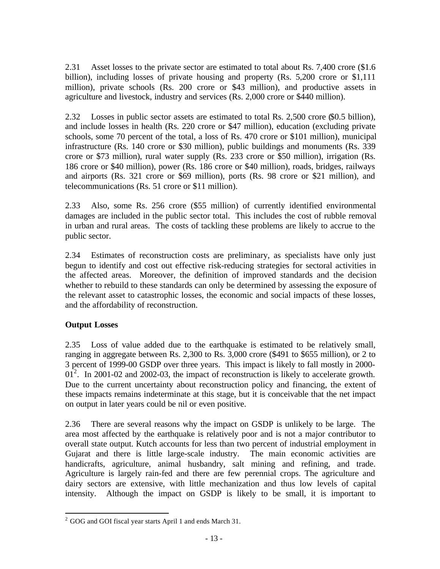2.31 Asset losses to the private sector are estimated to total about Rs. 7,400 crore (\$1.6 billion), including losses of private housing and property (Rs. 5,200 crore or \$1,111 million), private schools (Rs. 200 crore or \$43 million), and productive assets in agriculture and livestock, industry and services (Rs. 2,000 crore or \$440 million).

2.32 Losses in public sector assets are estimated to total Rs. 2,500 crore (\$0.5 billion), and include losses in health (Rs. 220 crore or \$47 million), education (excluding private schools, some 70 percent of the total, a loss of Rs. 470 crore or \$101 million), municipal infrastructure (Rs. 140 crore or \$30 million), public buildings and monuments (Rs. 339 crore or \$73 million), rural water supply (Rs. 233 crore or \$50 million), irrigation (Rs. 186 crore or \$40 million), power (Rs. 186 crore or \$40 million), roads, bridges, railways and airports (Rs. 321 crore or \$69 million), ports (Rs. 98 crore or \$21 million), and telecommunications (Rs. 51 crore or \$11 million).

2.33 Also, some Rs. 256 crore (\$55 million) of currently identified environmental damages are included in the public sector total. This includes the cost of rubble removal in urban and rural areas. The costs of tackling these problems are likely to accrue to the public sector.

2.34 Estimates of reconstruction costs are preliminary, as specialists have only just begun to identify and cost out effective risk-reducing strategies for sectoral activities in the affected areas. Moreover, the definition of improved standards and the decision whether to rebuild to these standards can only be determined by assessing the exposure of the relevant asset to catastrophic losses, the economic and social impacts of these losses, and the affordability of reconstruction.

#### **Output Losses**

2.35 Loss of value added due to the earthquake is estimated to be relatively small, ranging in aggregate between Rs. 2,300 to Rs. 3,000 crore (\$491 to \$655 million), or 2 to 3 percent of 1999-00 GSDP over three years. This impact is likely to fall mostly in 2000-  $01^2$ . In 2001-02 and 2002-03, the impact of reconstruction is likely to accelerate growth. Due to the current uncertainty about reconstruction policy and financing, the extent of these impacts remains indeterminate at this stage, but it is conceivable that the net impact on output in later years could be nil or even positive.

2.36 There are several reasons why the impact on GSDP is unlikely to be large. The area most affected by the earthquake is relatively poor and is not a major contributor to overall state output. Kutch accounts for less than two percent of industrial employment in Gujarat and there is little large-scale industry. The main economic activities are handicrafts, agriculture, animal husbandry, salt mining and refining, and trade. Agriculture is largely rain-fed and there are few perennial crops. The agriculture and dairy sectors are extensive, with little mechanization and thus low levels of capital intensity. Although the impact on GSDP is likely to be small, it is important to

 $\overline{a}$ <sup>2</sup> GOG and GOI fiscal year starts April 1 and ends March 31.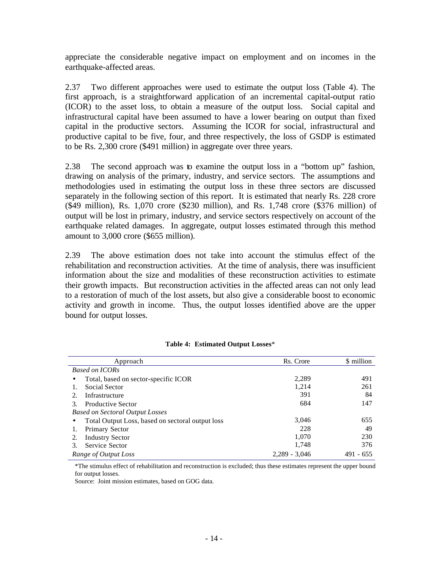appreciate the considerable negative impact on employment and on incomes in the earthquake-affected areas.

2.37 Two different approaches were used to estimate the output loss (Table 4). The first approach, is a straightforward application of an incremental capital-output ratio (ICOR) to the asset loss, to obtain a measure of the output loss. Social capital and infrastructural capital have been assumed to have a lower bearing on output than fixed capital in the productive sectors. Assuming the ICOR for social, infrastructural and productive capital to be five, four, and three respectively, the loss of GSDP is estimated to be Rs. 2,300 crore (\$491 million) in aggregate over three years.

2.38 The second approach was to examine the output loss in a "bottom up" fashion, drawing on analysis of the primary, industry, and service sectors. The assumptions and methodologies used in estimating the output loss in these three sectors are discussed separately in the following section of this report. It is estimated that nearly Rs. 228 crore (\$49 million), Rs. 1,070 crore (\$230 million), and Rs. 1,748 crore (\$376 million) of output will be lost in primary, industry, and service sectors respectively on account of the earthquake related damages. In aggregate, output losses estimated through this method amount to 3,000 crore (\$655 million).

2.39 The above estimation does not take into account the stimulus effect of the rehabilitation and reconstruction activities. At the time of analysis, there was insufficient information about the size and modalities of these reconstruction activities to estimate their growth impacts. But reconstruction activities in the affected areas can not only lead to a restoration of much of the lost assets, but also give a considerable boost to economic activity and growth in income. Thus, the output losses identified above are the upper bound for output losses.

| Approach                                          | Rs. Crore       | \$ million    |
|---------------------------------------------------|-----------------|---------------|
| <b>Based on ICORs</b>                             |                 |               |
| Total, based on sector-specific ICOR<br>$\bullet$ | 2,289           | 491           |
| Social Sector                                     | 1,214           | 261           |
| Infrastructure<br>2.                              | 391             | 84            |
| <b>Productive Sector</b><br>3.                    | 684             | 147           |
| <b>Based on Sectoral Output Losses</b>            |                 |               |
| Total Output Loss, based on sectoral output loss  | 3,046           | 655           |
| Primary Sector                                    | 228             | 49            |
| <b>Industry Sector</b><br>2.                      | 1,070           | 230           |
| Service Sector                                    | 1,748           | 376           |
| Range of Output Loss                              | $2.289 - 3.046$ | $-655$<br>491 |

#### **Table 4: Estimated Output Losses**\*

\*The stimulus effect of rehabilitation and reconstruction is excluded; thus these estimates represent the upper bound for output losses.

Source: Joint mission estimates, based on GOG data.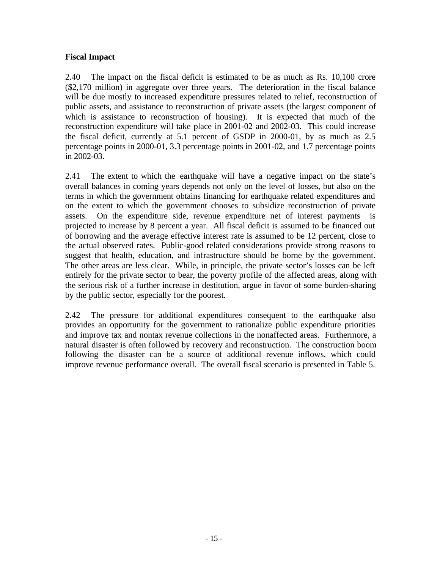#### **Fiscal Impact**

2.40 The impact on the fiscal deficit is estimated to be as much as Rs. 10,100 crore (\$2,170 million) in aggregate over three years. The deterioration in the fiscal balance will be due mostly to increased expenditure pressures related to relief, reconstruction of public assets, and assistance to reconstruction of private assets (the largest component of which is assistance to reconstruction of housing). It is expected that much of the reconstruction expenditure will take place in 2001-02 and 2002-03. This could increase the fiscal deficit, currently at 5.1 percent of GSDP in 2000-01, by as much as 2.5 percentage points in 2000-01, 3.3 percentage points in 2001-02, and 1.7 percentage points in 2002-03.

2.41 The extent to which the earthquake will have a negative impact on the state's overall balances in coming years depends not only on the level of losses, but also on the terms in which the government obtains financing for earthquake related expenditures and on the extent to which the government chooses to subsidize reconstruction of private assets. On the expenditure side, revenue expenditure net of interest payments is projected to increase by 8 percent a year. All fiscal deficit is assumed to be financed out of borrowing and the average effective interest rate is assumed to be 12 percent, close to the actual observed rates. Public-good related considerations provide strong reasons to suggest that health, education, and infrastructure should be borne by the government. The other areas are less clear. While, in principle, the private sector's losses can be left entirely for the private sector to bear, the poverty profile of the affected areas, along with the serious risk of a further increase in destitution, argue in favor of some burden-sharing by the public sector, especially for the poorest.

2.42 The pressure for additional expenditures consequent to the earthquake also provides an opportunity for the government to rationalize public expenditure priorities and improve tax and nontax revenue collections in the nonaffected areas. Furthermore, a natural disaster is often followed by recovery and reconstruction. The construction boom following the disaster can be a source of additional revenue inflows, which could improve revenue performance overall. The overall fiscal scenario is presented in Table 5.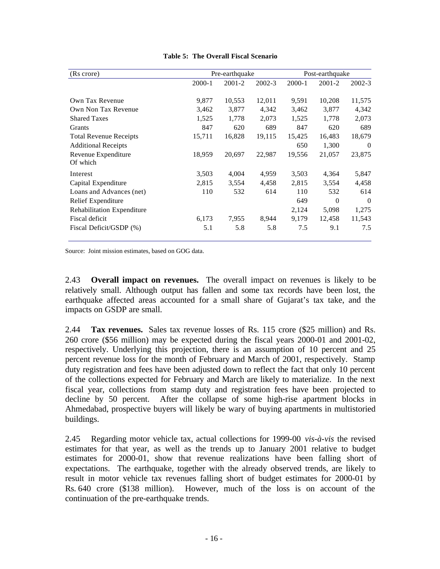| (Rs crore)                      | Pre-earthquake |        |            | Post-earthquake |          |            |
|---------------------------------|----------------|--------|------------|-----------------|----------|------------|
|                                 | 2000-1         | 2001-2 | $2002 - 3$ | 2000-1          | 2001-2   | $2002 - 3$ |
| Own Tax Revenue                 | 9,877          | 10,553 | 12,011     | 9,591           | 10,208   | 11,575     |
| Own Non Tax Revenue             | 3,462          | 3,877  | 4,342      | 3,462           | 3,877    | 4,342      |
| <b>Shared Taxes</b>             | 1,525          | 1,778  | 2,073      | 1,525           | 1,778    | 2,073      |
| Grants                          | 847            | 620    | 689        | 847             | 620      | 689        |
| <b>Total Revenue Receipts</b>   | 15,711         | 16,828 | 19,115     | 15,425          | 16,483   | 18,679     |
| <b>Additional Receipts</b>      |                |        |            | 650             | 1,300    | $\Omega$   |
| Revenue Expenditure<br>Of which | 18,959         | 20,697 | 22,987     | 19,556          | 21,057   | 23,875     |
| Interest                        | 3,503          | 4,004  | 4,959      | 3,503           | 4,364    | 5,847      |
| Capital Expenditure             | 2,815          | 3,554  | 4,458      | 2,815           | 3,554    | 4,458      |
| Loans and Advances (net)        | 110            | 532    | 614        | 110             | 532      | 614        |
| Relief Expenditure              |                |        |            | 649             | $\Omega$ | $\Omega$   |
| Rehabilitation Expenditure      |                |        |            | 2,124           | 5,098    | 1,275      |
| Fiscal deficit                  | 6,173          | 7,955  | 8,944      | 9,179           | 12,458   | 11,543     |
| Fiscal Deficit/GSDP (%)         | 5.1            | 5.8    | 5.8        | 7.5             | 9.1      | 7.5        |

**Table 5: The Overall Fiscal Scenario**

Source: Joint mission estimates, based on GOG data.

2.43 **Overall impact on revenues.** The overall impact on revenues is likely to be relatively small. Although output has fallen and some tax records have been lost, the earthquake affected areas accounted for a small share of Gujarat's tax take, and the impacts on GSDP are small.

2.44 **Tax revenues.** Sales tax revenue losses of Rs. 115 crore (\$25 million) and Rs. 260 crore (\$56 million) may be expected during the fiscal years 2000-01 and 2001-02, respectively. Underlying this projection, there is an assumption of 10 percent and 25 percent revenue loss for the month of February and March of 2001, respectively. Stamp duty registration and fees have been adjusted down to reflect the fact that only 10 percent of the collections expected for February and March are likely to materialize. In the next fiscal year, collections from stamp duty and registration fees have been projected to decline by 50 percent. After the collapse of some high-rise apartment blocks in Ahmedabad, prospective buyers will likely be wary of buying apartments in multistoried buildings.

2.45 Regarding motor vehicle tax, actual collections for 1999-00 *vis-à-vis* the revised estimates for that year, as well as the trends up to January 2001 relative to budget estimates for 2000-01, show that revenue realizations have been falling short of expectations. The earthquake, together with the already observed trends, are likely to result in motor vehicle tax revenues falling short of budget estimates for 2000-01 by Rs. 640 crore (\$138 million). However, much of the loss is on account of the continuation of the pre-earthquake trends.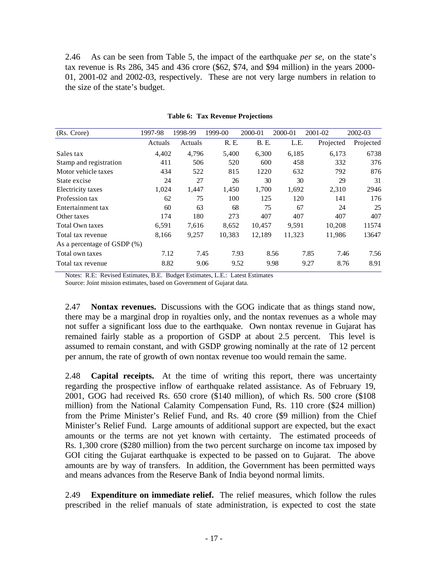2.46 As can be seen from Table 5, the impact of the earthquake *per se*, on the state's tax revenue is Rs 286, 345 and 436 crore (\$62, \$74, and \$94 million) in the years 2000- 01, 2001-02 and 2002-03, respectively. These are not very large numbers in relation to the size of the state's budget.

| (Rs. Crore)                    | 1997-98 | 1998-99 | 1999-00 | 2000-01      | 2000-01 | 2001-02      | 2002-03   |
|--------------------------------|---------|---------|---------|--------------|---------|--------------|-----------|
|                                | Actuals | Actuals | R. E.   | <b>B.</b> E. | L.E.    | Projected    | Projected |
| Sales tax                      | 4,402   | 4,796   | 5,400   | 6,300        | 6,185   | 6,173        | 6738      |
| Stamp and registration         | 411     | 506     | 520     | 600          | 458     | 332          | 376       |
| Motor vehicle taxes            | 434     | 522     | 815     | 1220         | 632     | 792          | 876       |
| State excise                   | 24      | 27      | 26      | 30           | 30      | 29           | 31        |
| Electricity taxes              | 1,024   | 1,447   | 1,450   | 1,700        | 1,692   | 2,310        | 2946      |
| Profession tax                 | 62      | 75      | 100     | 125          | 120     | 141          | 176       |
| Entertainment tax              | 60      | 63      | 68      | 75           | 67      | 24           | 25        |
| Other taxes                    | 174     | 180     | 273     | 407          | 407     | 407          | 407       |
| <b>Total Own taxes</b>         | 6,591   | 7,616   | 8,652   | 10,457       | 9,591   | 10,208       | 11574     |
| Total tax revenue              | 8,166   | 9,257   | 10,383  | 12,189       | 11,323  | 11,986       | 13647     |
| As a percentage of GSDP $(\%)$ |         |         |         |              |         |              |           |
| Total own taxes                | 7.12    | 7.45    | 7.93    |              | 8.56    | 7.85<br>7.46 | 7.56      |
| Total tax revenue              | 8.82    | 9.06    | 9.52    |              | 9.98    | 8.76<br>9.27 | 8.91      |

#### **Table 6: Tax Revenue Projections**

Notes: R.E: Revised Estimates, B.E. Budget Estimates, L.E.: Latest Estimates

Source: Joint mission estimates, based on Government of Gujarat data.

2.47 **Nontax revenues.**Discussions with the GOG indicate that as things stand now, there may be a marginal drop in royalties only, and the nontax revenues as a whole may not suffer a significant loss due to the earthquake. Own nontax revenue in Gujarat has remained fairly stable as a proportion of GSDP at about 2.5 percent. This level is assumed to remain constant, and with GSDP growing nominally at the rate of 12 percent per annum, the rate of growth of own nontax revenue too would remain the same.

2.48 **Capital receipts.**At the time of writing this report, there was uncertainty regarding the prospective inflow of earthquake related assistance. As of February 19, 2001, GOG had received Rs. 650 crore (\$140 million), of which Rs. 500 crore (\$108 million) from the National Calamity Compensation Fund, Rs. 110 crore (\$24 million) from the Prime Minister's Relief Fund, and Rs. 40 crore (\$9 million) from the Chief Minister's Relief Fund. Large amounts of additional support are expected, but the exact amounts or the terms are not yet known with certainty. The estimated proceeds of Rs. 1,300 crore (\$280 million) from the two percent surcharge on income tax imposed by GOI citing the Gujarat earthquake is expected to be passed on to Gujarat. The above amounts are by way of transfers. In addition, the Government has been permitted ways and means advances from the Reserve Bank of India beyond normal limits.

2.49 **Expenditure on immediate relief.** The relief measures, which follow the rules prescribed in the relief manuals of state administration, is expected to cost the state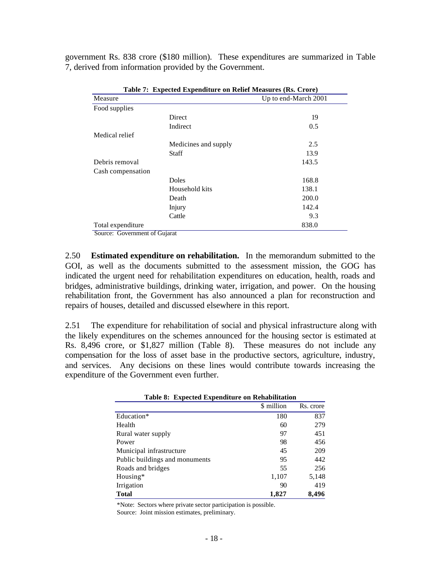government Rs. 838 crore (\$180 million). These expenditures are summarized in Table 7, derived from information provided by the Government.

| Table 7: Expected Expenditure on Relief Measures (Rs. Crore) |                      |                      |  |  |  |
|--------------------------------------------------------------|----------------------|----------------------|--|--|--|
| Measure                                                      |                      | Up to end-March 2001 |  |  |  |
| Food supplies                                                |                      |                      |  |  |  |
|                                                              | <b>Direct</b>        | 19                   |  |  |  |
|                                                              | Indirect             | 0.5                  |  |  |  |
| Medical relief                                               |                      |                      |  |  |  |
|                                                              | Medicines and supply | 2.5                  |  |  |  |
|                                                              | <b>Staff</b>         | 13.9                 |  |  |  |
| Debris removal                                               |                      | 143.5                |  |  |  |
| Cash compensation                                            |                      |                      |  |  |  |
|                                                              | <b>Doles</b>         | 168.8                |  |  |  |
|                                                              | Household kits       | 138.1                |  |  |  |
|                                                              | Death                | 200.0                |  |  |  |
|                                                              | Injury               | 142.4                |  |  |  |
|                                                              | Cattle               | 9.3                  |  |  |  |
| Total expenditure                                            |                      | 838.0                |  |  |  |

Source: Government of Gujarat

2.50 **Estimated expenditure on rehabilitation.** In the memorandum submitted to the GOI, as well as the documents submitted to the assessment mission, the GOG has indicated the urgent need for rehabilitation expenditures on education, health, roads and bridges, administrative buildings, drinking water, irrigation, and power. On the housing rehabilitation front, the Government has also announced a plan for reconstruction and repairs of houses, detailed and discussed elsewhere in this report.

2.51 The expenditure for rehabilitation of social and physical infrastructure along with the likely expenditures on the schemes announced for the housing sector is estimated at Rs. 8,496 crore, or \$1,827 million (Table 8). These measures do not include any compensation for the loss of asset base in the productive sectors, agriculture, industry, and services. Any decisions on these lines would contribute towards increasing the expenditure of the Government even further.

| Table 8: Expected Expenditure on Rehabilitation |            |           |
|-------------------------------------------------|------------|-----------|
|                                                 | \$ million | Rs. crore |
| Education*                                      | 180        | 837       |
| Health                                          | 60         | 279       |
| Rural water supply                              | 97         | 451       |
| Power                                           | 98         | 456       |
| Municipal infrastructure                        | 45         | 209       |
| Public buildings and monuments                  | 95         | 442       |
| Roads and bridges                               | 55         | 256       |
| Housing*                                        | 1,107      | 5,148     |
| Irrigation                                      | 90         | 419       |
| <b>Total</b>                                    | 1,827      | 8,496     |

\*Note: Sectors where private sector participation is possible. Source: Joint mission estimates, preliminary.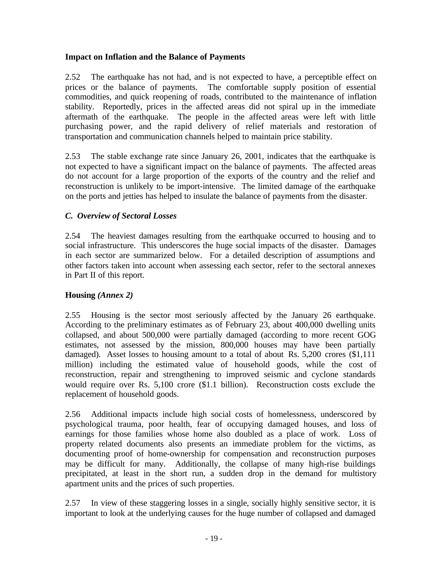### **Impact on Inflation and the Balance of Payments**

2.52 The earthquake has not had, and is not expected to have, a perceptible effect on prices or the balance of payments. The comfortable supply position of essential commodities, and quick reopening of roads, contributed to the maintenance of inflation stability. Reportedly, prices in the affected areas did not spiral up in the immediate aftermath of the earthquake. The people in the affected areas were left with little purchasing power, and the rapid delivery of relief materials and restoration of transportation and communication channels helped to maintain price stability.

2.53 The stable exchange rate since January 26, 2001, indicates that the earthquake is not expected to have a significant impact on the balance of payments. The affected areas do not account for a large proportion of the exports of the country and the relief and reconstruction is unlikely to be import-intensive. The limited damage of the earthquake on the ports and jetties has helped to insulate the balance of payments from the disaster.

### *C. Overview of Sectoral Losses*

2.54 The heaviest damages resulting from the earthquake occurred to housing and to social infrastructure. This underscores the huge social impacts of the disaster. Damages in each sector are summarized below. For a detailed description of assumptions and other factors taken into account when assessing each sector, refer to the sectoral annexes in Part II of this report.

#### **Housing** *(Annex 2)*

2.55 Housing is the sector most seriously affected by the January 26 earthquake. According to the preliminary estimates as of February 23, about 400,000 dwelling units collapsed, and about 500,000 were partially damaged (according to more recent GOG estimates, not assessed by the mission, 800,000 houses may have been partially damaged). Asset losses to housing amount to a total of about Rs. 5,200 crores (\$1,111 million) including the estimated value of household goods, while the cost of reconstruction, repair and strengthening to improved seismic and cyclone standards would require over Rs. 5,100 crore (\$1.1 billion). Reconstruction costs exclude the replacement of household goods.

2.56 Additional impacts include high social costs of homelessness, underscored by psychological trauma, poor health, fear of occupying damaged houses, and loss of earnings for those families whose home also doubled as a place of work. Loss of property related documents also presents an immediate problem for the victims, as documenting proof of home-ownership for compensation and reconstruction purposes may be difficult for many. Additionally, the collapse of many high-rise buildings precipitated, at least in the short run, a sudden drop in the demand for multistory apartment units and the prices of such properties.

2.57 In view of these staggering losses in a single, socially highly sensitive sector, it is important to look at the underlying causes for the huge number of collapsed and damaged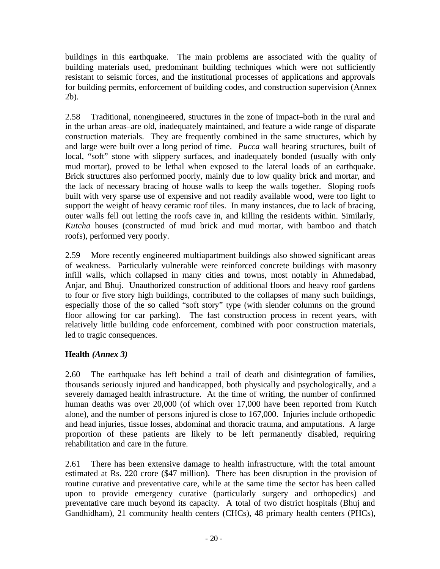buildings in this earthquake. The main problems are associated with the quality of building materials used, predominant building techniques which were not sufficiently resistant to seismic forces, and the institutional processes of applications and approvals for building permits, enforcement of building codes, and construction supervision (Annex 2b).

2.58 Traditional, nonengineered, structures in the zone of impact–both in the rural and in the urban areas–are old, inadequately maintained, and feature a wide range of disparate construction materials. They are frequently combined in the same structures, which by and large were built over a long period of time. *Pucca* wall bearing structures, built of local, "soft" stone with slippery surfaces, and inadequately bonded (usually with only mud mortar), proved to be lethal when exposed to the lateral loads of an earthquake. Brick structures also performed poorly, mainly due to low quality brick and mortar, and the lack of necessary bracing of house walls to keep the walls together. Sloping roofs built with very sparse use of expensive and not readily available wood, were too light to support the weight of heavy ceramic roof tiles. In many instances, due to lack of bracing, outer walls fell out letting the roofs cave in, and killing the residents within. Similarly, *Kutcha* houses (constructed of mud brick and mud mortar, with bamboo and thatch roofs), performed very poorly.

2.59 More recently engineered multiapartment buildings also showed significant areas of weakness. Particularly vulnerable were reinforced concrete buildings with masonry infill walls, which collapsed in many cities and towns, most notably in Ahmedabad, Anjar, and Bhuj. Unauthorized construction of additional floors and heavy roof gardens to four or five story high buildings, contributed to the collapses of many such buildings, especially those of the so called "soft story" type (with slender columns on the ground floor allowing for car parking). The fast construction process in recent years, with relatively little building code enforcement, combined with poor construction materials, led to tragic consequences.

# **Health** *(Annex 3)*

2.60 The earthquake has left behind a trail of death and disintegration of families, thousands seriously injured and handicapped, both physically and psychologically, and a severely damaged health infrastructure. At the time of writing, the number of confirmed human deaths was over 20,000 (of which over 17,000 have been reported from Kutch alone), and the number of persons injured is close to 167,000. Injuries include orthopedic and head injuries, tissue losses, abdominal and thoracic trauma, and amputations. A large proportion of these patients are likely to be left permanently disabled, requiring rehabilitation and care in the future.

2.61 There has been extensive damage to health infrastructure, with the total amount estimated at Rs. 220 crore (\$47 million). There has been disruption in the provision of routine curative and preventative care, while at the same time the sector has been called upon to provide emergency curative (particularly surgery and orthopedics) and preventative care much beyond its capacity. A total of two district hospitals (Bhuj and Gandhidham), 21 community health centers (CHCs), 48 primary health centers (PHCs),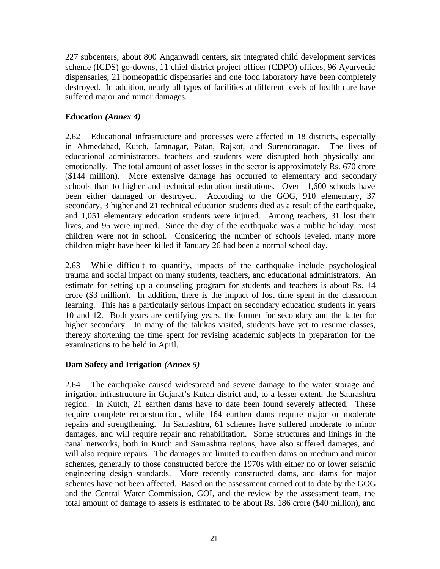227 subcenters, about 800 Anganwadi centers, six integrated child development services scheme (ICDS) go-downs, 11 chief district project officer (CDPO) offices, 96 Ayurvedic dispensaries, 21 homeopathic dispensaries and one food laboratory have been completely destroyed. In addition, nearly all types of facilities at different levels of health care have suffered major and minor damages.

## **Education** *(Annex 4)*

2.62 Educational infrastructure and processes were affected in 18 districts, especially in Ahmedabad, Kutch, Jamnagar, Patan, Rajkot, and Surendranagar. The lives of educational administrators, teachers and students were disrupted both physically and emotionally. The total amount of asset losses in the sector is approximately Rs. 670 crore (\$144 million). More extensive damage has occurred to elementary and secondary schools than to higher and technical education institutions. Over 11,600 schools have been either damaged or destroyed. According to the GOG, 910 elementary, 37 secondary, 3 higher and 21 technical education students died as a result of the earthquake, and 1,051 elementary education students were injured. Among teachers, 31 lost their lives, and 95 were injured. Since the day of the earthquake was a public holiday, most children were not in school. Considering the number of schools leveled, many more children might have been killed if January 26 had been a normal school day.

2.63 While difficult to quantify, impacts of the earthquake include psychological trauma and social impact on many students, teachers, and educational administrators. An estimate for setting up a counseling program for students and teachers is about Rs. 14 crore (\$3 million). In addition, there is the impact of lost time spent in the classroom learning. This has a particularly serious impact on secondary education students in years 10 and 12. Both years are certifying years, the former for secondary and the latter for higher secondary. In many of the talukas visited, students have yet to resume classes, thereby shortening the time spent for revising academic subjects in preparation for the examinations to be held in April.

#### **Dam Safety and Irrigation** *(Annex 5)*

2.64 The earthquake caused widespread and severe damage to the water storage and irrigation infrastructure in Gujarat's Kutch district and, to a lesser extent, the Saurashtra region. In Kutch, 21 earthen dams have to date been found severely affected. These require complete reconstruction, while 164 earthen dams require major or moderate repairs and strengthening. In Saurashtra, 61 schemes have suffered moderate to minor damages, and will require repair and rehabilitation. Some structures and linings in the canal networks, both in Kutch and Saurashtra regions, have also suffered damages, and will also require repairs. The damages are limited to earthen dams on medium and minor schemes, generally to those constructed before the 1970s with either no or lower seismic engineering design standards. More recently constructed dams, and dams for major schemes have not been affected. Based on the assessment carried out to date by the GOG and the Central Water Commission, GOI, and the review by the assessment team, the total amount of damage to assets is estimated to be about Rs. 186 crore (\$40 million), and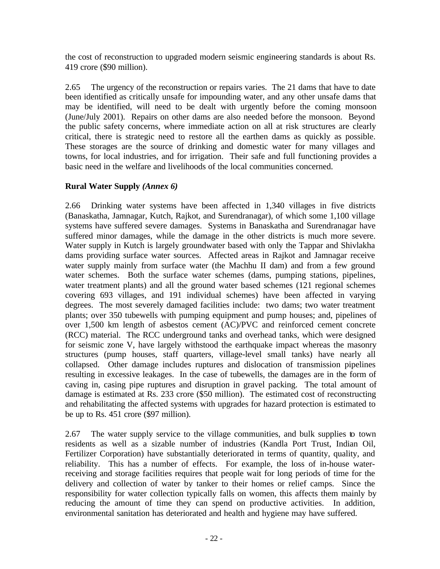the cost of reconstruction to upgraded modern seismic engineering standards is about Rs. 419 crore (\$90 million).

2.65 The urgency of the reconstruction or repairs varies. The 21 dams that have to date been identified as critically unsafe for impounding water, and any other unsafe dams that may be identified, will need to be dealt with urgently before the coming monsoon (June/July 2001). Repairs on other dams are also needed before the monsoon. Beyond the public safety concerns, where immediate action on all at risk structures are clearly critical, there is strategic need to restore all the earthen dams as quickly as possible. These storages are the source of drinking and domestic water for many villages and towns, for local industries, and for irrigation. Their safe and full functioning provides a basic need in the welfare and livelihoods of the local communities concerned.

### **Rural Water Supply** *(Annex 6)*

2.66 Drinking water systems have been affected in 1,340 villages in five districts (Banaskatha, Jamnagar, Kutch, Rajkot, and Surendranagar), of which some 1,100 village systems have suffered severe damages. Systems in Banaskatha and Surendranagar have suffered minor damages, while the damage in the other districts is much more severe. Water supply in Kutch is largely groundwater based with only the Tappar and Shivlakha dams providing surface water sources. Affected areas in Rajkot and Jamnagar receive water supply mainly from surface water (the Machhu II dam) and from a few ground water schemes. Both the surface water schemes (dams, pumping stations, pipelines, water treatment plants) and all the ground water based schemes (121 regional schemes covering 693 villages, and 191 individual schemes) have been affected in varying degrees. The most severely damaged facilities include: two dams; two water treatment plants; over 350 tubewells with pumping equipment and pump houses; and, pipelines of over 1,500 km length of asbestos cement (AC)/PVC and reinforced cement concrete (RCC) material. The RCC underground tanks and overhead tanks, which were designed for seismic zone V, have largely withstood the earthquake impact whereas the masonry structures (pump houses, staff quarters, village-level small tanks) have nearly all collapsed. Other damage includes ruptures and dislocation of transmission pipelines resulting in excessive leakages. In the case of tubewells, the damages are in the form of caving in, casing pipe ruptures and disruption in gravel packing. The total amount of damage is estimated at Rs. 233 crore (\$50 million). The estimated cost of reconstructing and rehabilitating the affected systems with upgrades for hazard protection is estimated to be up to Rs. 451 crore (\$97 million).

2.67 The water supply service to the village communities, and bulk supplies to town residents as well as a sizable number of industries (Kandla Port Trust, Indian Oil, Fertilizer Corporation) have substantially deteriorated in terms of quantity, quality, and reliability. This has a number of effects. For example, the loss of in-house waterreceiving and storage facilities requires that people wait for long periods of time for the delivery and collection of water by tanker to their homes or relief camps. Since the responsibility for water collection typically falls on women, this affects them mainly by reducing the amount of time they can spend on productive activities. In addition, environmental sanitation has deteriorated and health and hygiene may have suffered.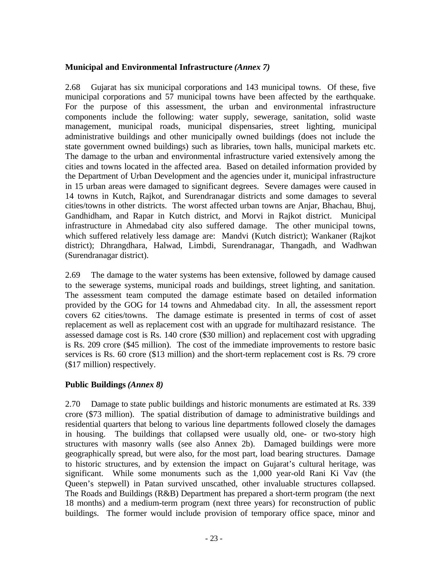#### **Municipal and Environmental Infrastructure** *(Annex 7)*

2.68 Gujarat has six municipal corporations and 143 municipal towns. Of these, five municipal corporations and 57 municipal towns have been affected by the earthquake. For the purpose of this assessment, the urban and environmental infrastructure components include the following: water supply, sewerage, sanitation, solid waste management, municipal roads, municipal dispensaries, street lighting, municipal administrative buildings and other municipally owned buildings (does not include the state government owned buildings) such as libraries, town halls, municipal markets etc. The damage to the urban and environmental infrastructure varied extensively among the cities and towns located in the affected area. Based on detailed information provided by the Department of Urban Development and the agencies under it, municipal infrastructure in 15 urban areas were damaged to significant degrees. Severe damages were caused in 14 towns in Kutch, Rajkot, and Surendranagar districts and some damages to several cities/towns in other districts. The worst affected urban towns are Anjar, Bhachau, Bhuj, Gandhidham, and Rapar in Kutch district, and Morvi in Rajkot district. Municipal infrastructure in Ahmedabad city also suffered damage. The other municipal towns, which suffered relatively less damage are: Mandvi (Kutch district); Wankaner (Rajkot district); Dhrangdhara, Halwad, Limbdi, Surendranagar, Thangadh, and Wadhwan (Surendranagar district).

2.69 The damage to the water systems has been extensive, followed by damage caused to the sewerage systems, municipal roads and buildings, street lighting, and sanitation. The assessment team computed the damage estimate based on detailed information provided by the GOG for 14 towns and Ahmedabad city. In all, the assessment report covers 62 cities/towns. The damage estimate is presented in terms of cost of asset replacement as well as replacement cost with an upgrade for multihazard resistance. The assessed damage cost is Rs. 140 crore (\$30 million) and replacement cost with upgrading is Rs. 209 crore (\$45 million). The cost of the immediate improvements to restore basic services is Rs. 60 crore (\$13 million) and the short-term replacement cost is Rs. 79 crore (\$17 million) respectively.

#### **Public Buildings** *(Annex 8)*

2.70 Damage to state public buildings and historic monuments are estimated at Rs. 339 crore (\$73 million). The spatial distribution of damage to administrative buildings and residential quarters that belong to various line departments followed closely the damages in housing. The buildings that collapsed were usually old, one- or two-story high structures with masonry walls (see also Annex 2b). Damaged buildings were more geographically spread, but were also, for the most part, load bearing structures. Damage to historic structures, and by extension the impact on Gujarat's cultural heritage, was significant. While some monuments such as the 1,000 year-old Rani Ki Vav (the Queen's stepwell) in Patan survived unscathed, other invaluable structures collapsed. The Roads and Buildings (R&B) Department has prepared a short-term program (the next 18 months) and a medium-term program (next three years) for reconstruction of public buildings. The former would include provision of temporary office space, minor and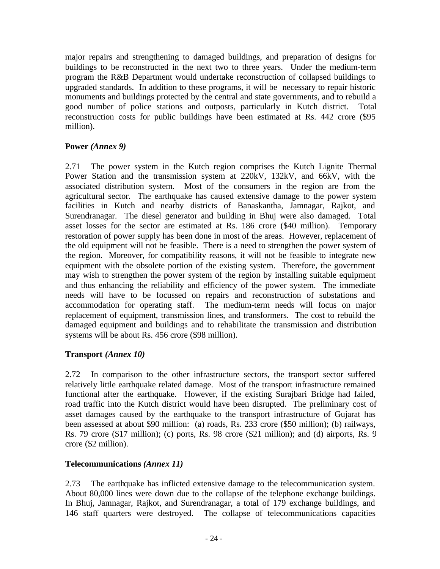major repairs and strengthening to damaged buildings, and preparation of designs for buildings to be reconstructed in the next two to three years. Under the medium-term program the R&B Department would undertake reconstruction of collapsed buildings to upgraded standards. In addition to these programs, it will be necessary to repair historic monuments and buildings protected by the central and state governments, and to rebuild a good number of police stations and outposts, particularly in Kutch district. Total reconstruction costs for public buildings have been estimated at Rs. 442 crore (\$95 million).

#### **Power** *(Annex 9)*

2.71 The power system in the Kutch region comprises the Kutch Lignite Thermal Power Station and the transmission system at 220kV, 132kV, and 66kV, with the associated distribution system. Most of the consumers in the region are from the agricultural sector. The earthquake has caused extensive damage to the power system facilities in Kutch and nearby districts of Banaskantha, Jamnagar, Rajkot, and Surendranagar. The diesel generator and building in Bhuj were also damaged. Total asset losses for the sector are estimated at Rs. 186 crore (\$40 million). Temporary restoration of power supply has been done in most of the areas. However, replacement of the old equipment will not be feasible. There is a need to strengthen the power system of the region. Moreover, for compatibility reasons, it will not be feasible to integrate new equipment with the obsolete portion of the existing system. Therefore, the government may wish to strengthen the power system of the region by installing suitable equipment and thus enhancing the reliability and efficiency of the power system. The immediate needs will have to be focussed on repairs and reconstruction of substations and accommodation for operating staff. The medium-term needs will focus on major replacement of equipment, transmission lines, and transformers. The cost to rebuild the damaged equipment and buildings and to rehabilitate the transmission and distribution systems will be about Rs. 456 crore (\$98 million).

#### **Transport** *(Annex 10)*

2.72 In comparison to the other infrastructure sectors, the transport sector suffered relatively little earthquake related damage. Most of the transport infrastructure remained functional after the earthquake. However, if the existing Surajbari Bridge had failed, road traffic into the Kutch district would have been disrupted. The preliminary cost of asset damages caused by the earthquake to the transport infrastructure of Gujarat has been assessed at about \$90 million: (a) roads, Rs. 233 crore (\$50 million); (b) railways, Rs. 79 crore (\$17 million); (c) ports, Rs. 98 crore (\$21 million); and (d) airports, Rs. 9 crore (\$2 million).

#### **Telecommunications** *(Annex 11)*

2.73 The earthquake has inflicted extensive damage to the telecommunication system. About 80,000 lines were down due to the collapse of the telephone exchange buildings. In Bhuj, Jamnagar, Rajkot, and Surendranagar, a total of 179 exchange buildings, and 146 staff quarters were destroyed. The collapse of telecommunications capacities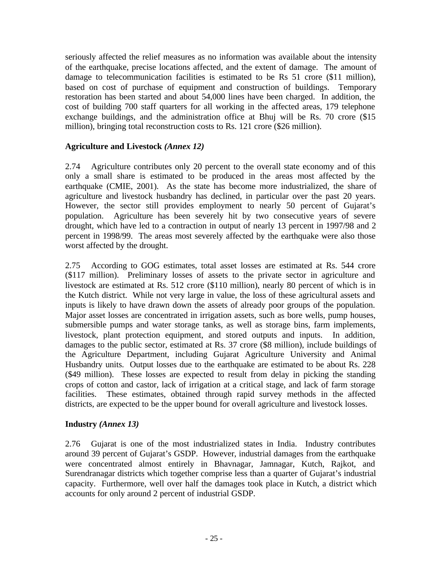seriously affected the relief measures as no information was available about the intensity of the earthquake, precise locations affected, and the extent of damage. The amount of damage to telecommunication facilities is estimated to be Rs 51 crore (\$11 million), based on cost of purchase of equipment and construction of buildings. Temporary restoration has been started and about 54,000 lines have been charged. In addition, the cost of building 700 staff quarters for all working in the affected areas, 179 telephone exchange buildings, and the administration office at Bhuj will be Rs. 70 crore (\$15 million), bringing total reconstruction costs to Rs. 121 crore (\$26 million).

#### **Agriculture and Livestock** *(Annex 12)*

2.74 Agriculture contributes only 20 percent to the overall state economy and of this only a small share is estimated to be produced in the areas most affected by the earthquake (CMIE, 2001). As the state has become more industrialized, the share of agriculture and livestock husbandry has declined, in particular over the past 20 years. However, the sector still provides employment to nearly 50 percent of Gujarat's population. Agriculture has been severely hit by two consecutive years of severe drought, which have led to a contraction in output of nearly 13 percent in 1997/98 and 2 percent in 1998/99. The areas most severely affected by the earthquake were also those worst affected by the drought.

2.75 According to GOG estimates, total asset losses are estimated at Rs. 544 crore (\$117 million). Preliminary losses of assets to the private sector in agriculture and livestock are estimated at Rs. 512 crore (\$110 million), nearly 80 percent of which is in the Kutch district. While not very large in value, the loss of these agricultural assets and inputs is likely to have drawn down the assets of already poor groups of the population. Major asset losses are concentrated in irrigation assets, such as bore wells, pump houses, submersible pumps and water storage tanks, as well as storage bins, farm implements, livestock, plant protection equipment, and stored outputs and inputs. In addition, damages to the public sector, estimated at Rs. 37 crore (\$8 million), include buildings of the Agriculture Department, including Gujarat Agriculture University and Animal Husbandry units. Output losses due to the earthquake are estimated to be about Rs. 228 (\$49 million). These losses are expected to result from delay in picking the standing crops of cotton and castor, lack of irrigation at a critical stage, and lack of farm storage facilities. These estimates, obtained through rapid survey methods in the affected districts, are expected to be the upper bound for overall agriculture and livestock losses.

#### **Industry** *(Annex 13)*

2.76 Gujarat is one of the most industrialized states in India. Industry contributes around 39 percent of Gujarat's GSDP. However, industrial damages from the earthquake were concentrated almost entirely in Bhavnagar, Jamnagar, Kutch, Rajkot, and Surendranagar districts which together comprise less than a quarter of Gujarat's industrial capacity. Furthermore, well over half the damages took place in Kutch, a district which accounts for only around 2 percent of industrial GSDP.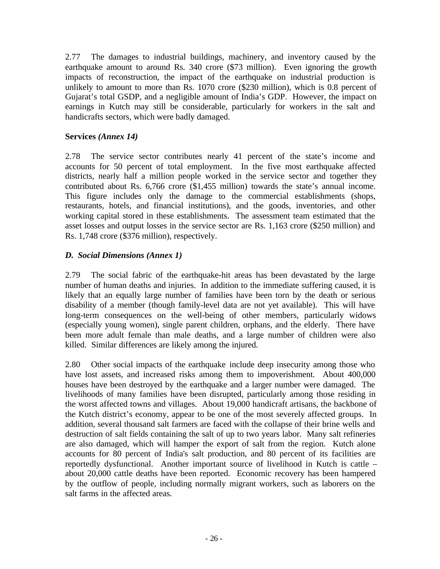2.77 The damages to industrial buildings, machinery, and inventory caused by the earthquake amount to around Rs. 340 crore (\$73 million). Even ignoring the growth impacts of reconstruction, the impact of the earthquake on industrial production is unlikely to amount to more than Rs. 1070 crore (\$230 million), which is 0.8 percent of Gujarat's total GSDP, and a negligible amount of India's GDP. However, the impact on earnings in Kutch may still be considerable, particularly for workers in the salt and handicrafts sectors, which were badly damaged.

### **Services** *(Annex 14)*

2.78 The service sector contributes nearly 41 percent of the state's income and accounts for 50 percent of total employment. In the five most earthquake affected districts, nearly half a million people worked in the service sector and together they contributed about Rs. 6,766 crore (\$1,455 million) towards the state's annual income. This figure includes only the damage to the commercial establishments (shops, restaurants, hotels, and financial institutions), and the goods, inventories, and other working capital stored in these establishments. The assessment team estimated that the asset losses and output losses in the service sector are Rs. 1,163 crore (\$250 million) and Rs. 1,748 crore (\$376 million), respectively.

### *D. Social Dimensions (Annex 1)*

2.79 The social fabric of the earthquake-hit areas has been devastated by the large number of human deaths and injuries. In addition to the immediate suffering caused, it is likely that an equally large number of families have been torn by the death or serious disability of a member (though family-level data are not yet available). This will have long-term consequences on the well-being of other members, particularly widows (especially young women), single parent children, orphans, and the elderly. There have been more adult female than male deaths, and a large number of children were also killed. Similar differences are likely among the injured.

2.80 Other social impacts of the earthquake include deep insecurity among those who have lost assets, and increased risks among them to impoverishment. About 400,000 houses have been destroyed by the earthquake and a larger number were damaged. The livelihoods of many families have been disrupted, particularly among those residing in the worst affected towns and villages. About 19,000 handicraft artisans, the backbone of the Kutch district's economy, appear to be one of the most severely affected groups. In addition, several thousand salt farmers are faced with the collapse of their brine wells and destruction of salt fields containing the salt of up to two years labor. Many salt refineries are also damaged, which will hamper the export of salt from the region. Kutch alone accounts for 80 percent of India's salt production, and 80 percent of its facilities are reportedly dysfunctional. Another important source of livelihood in Kutch is cattle – about 20,000 cattle deaths have been reported. Economic recovery has been hampered by the outflow of people, including normally migrant workers, such as laborers on the salt farms in the affected areas.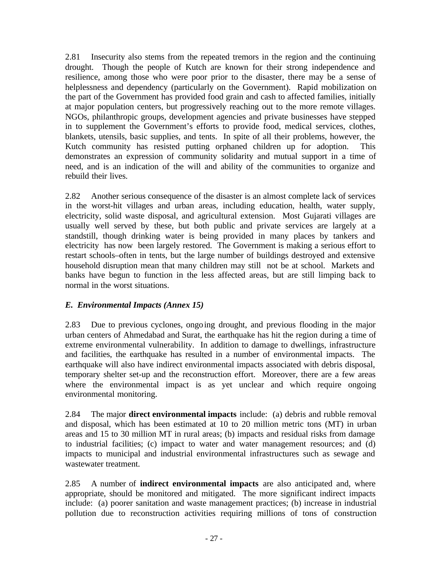2.81 Insecurity also stems from the repeated tremors in the region and the continuing drought. Though the people of Kutch are known for their strong independence and resilience, among those who were poor prior to the disaster, there may be a sense of helplessness and dependency (particularly on the Government). Rapid mobilization on the part of the Government has provided food grain and cash to affected families, initially at major population centers, but progressively reaching out to the more remote villages. NGOs, philanthropic groups, development agencies and private businesses have stepped in to supplement the Government's efforts to provide food, medical services, clothes, blankets, utensils, basic supplies, and tents. In spite of all their problems, however, the Kutch community has resisted putting orphaned children up for adoption. This demonstrates an expression of community solidarity and mutual support in a time of need, and is an indication of the will and ability of the communities to organize and rebuild their lives.

2.82 Another serious consequence of the disaster is an almost complete lack of services in the worst-hit villages and urban areas, including education, health, water supply, electricity, solid waste disposal, and agricultural extension. Most Gujarati villages are usually well served by these, but both public and private services are largely at a standstill, though drinking water is being provided in many places by tankers and electricity has now been largely restored. The Government is making a serious effort to restart schools–often in tents, but the large number of buildings destroyed and extensive household disruption mean that many children may still not be at school. Markets and banks have begun to function in the less affected areas, but are still limping back to normal in the worst situations.

#### *E. Environmental Impacts (Annex 15)*

2.83 Due to previous cyclones, ongoing drought, and previous flooding in the major urban centers of Ahmedabad and Surat, the earthquake has hit the region during a time of extreme environmental vulnerability. In addition to damage to dwellings, infrastructure and facilities, the earthquake has resulted in a number of environmental impacts. The earthquake will also have indirect environmental impacts associated with debris disposal, temporary shelter set-up and the reconstruction effort. Moreover, there are a few areas where the environmental impact is as yet unclear and which require ongoing environmental monitoring.

2.84 The major **direct environmental impacts** include: (a) debris and rubble removal and disposal, which has been estimated at 10 to 20 million metric tons (MT) in urban areas and 15 to 30 million MT in rural areas; (b) impacts and residual risks from damage to industrial facilities; (c) impact to water and water management resources; and (d) impacts to municipal and industrial environmental infrastructures such as sewage and wastewater treatment.

2.85 A number of **indirect environmental impacts** are also anticipated and, where appropriate, should be monitored and mitigated. The more significant indirect impacts include: (a) poorer sanitation and waste management practices; (b) increase in industrial pollution due to reconstruction activities requiring millions of tons of construction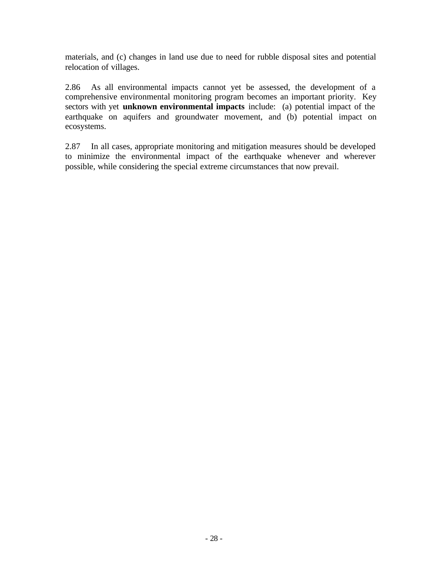materials, and (c) changes in land use due to need for rubble disposal sites and potential relocation of villages.

2.86 As all environmental impacts cannot yet be assessed, the development of a comprehensive environmental monitoring program becomes an important priority. Key sectors with yet **unknown environmental impacts** include: (a) potential impact of the earthquake on aquifers and groundwater movement, and (b) potential impact on ecosystems.

2.87 In all cases, appropriate monitoring and mitigation measures should be developed to minimize the environmental impact of the earthquake whenever and wherever possible, while considering the special extreme circumstances that now prevail.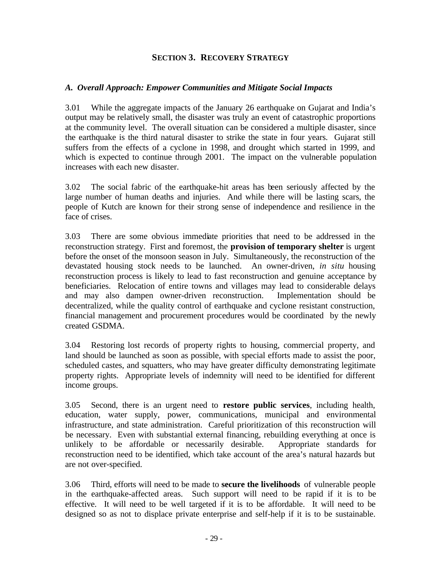### **SECTION 3. RECOVERY STRATEGY**

#### *A. Overall Approach: Empower Communities and Mitigate Social Impacts*

3.01 While the aggregate impacts of the January 26 earthquake on Gujarat and India's output may be relatively small, the disaster was truly an event of catastrophic proportions at the community level. The overall situation can be considered a multiple disaster, since the earthquake is the third natural disaster to strike the state in four years. Gujarat still suffers from the effects of a cyclone in 1998, and drought which started in 1999, and which is expected to continue through 2001. The impact on the vulnerable population increases with each new disaster.

3.02 The social fabric of the earthquake-hit areas has been seriously affected by the large number of human deaths and injuries. And while there will be lasting scars, the people of Kutch are known for their strong sense of independence and resilience in the face of crises.

3.03 There are some obvious immediate priorities that need to be addressed in the reconstruction strategy. First and foremost, the **provision of temporary shelter** is urgent before the onset of the monsoon season in July. Simultaneously, the reconstruction of the devastated housing stock needs to be launched. An owner-driven, *in situ* housing reconstruction process is likely to lead to fast reconstruction and genuine acceptance by beneficiaries. Relocation of entire towns and villages may lead to considerable delays and may also dampen owner-driven reconstruction. Implementation should be decentralized, while the quality control of earthquake and cyclone resistant construction, financial management and procurement procedures would be coordinated by the newly created GSDMA.

3.04 Restoring lost records of property rights to housing, commercial property, and land should be launched as soon as possible, with special efforts made to assist the poor, scheduled castes, and squatters, who may have greater difficulty demonstrating legitimate property rights. Appropriate levels of indemnity will need to be identified for different income groups.

3.05 Second, there is an urgent need to **restore public services**, including health, education, water supply, power, communications, municipal and environmental infrastructure, and state administration. Careful prioritization of this reconstruction will be necessary. Even with substantial external financing, rebuilding everything at once is unlikely to be affordable or necessarily desirable. Appropriate standards for reconstruction need to be identified, which take account of the area's natural hazards but are not over-specified.

3.06 Third, efforts will need to be made to **secure the livelihoods** of vulnerable people in the earthquake-affected areas. Such support will need to be rapid if it is to be effective. It will need to be well targeted if it is to be affordable. It will need to be designed so as not to displace private enterprise and self-help if it is to be sustainable.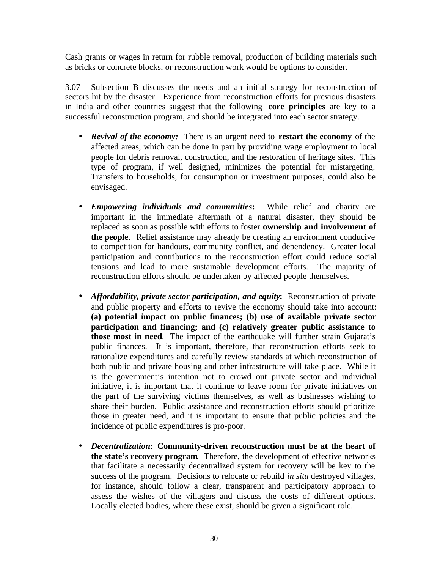Cash grants or wages in return for rubble removal, production of building materials such as bricks or concrete blocks, or reconstruction work would be options to consider.

3.07 Subsection B discusses the needs and an initial strategy for reconstruction of sectors hit by the disaster. Experience from reconstruction efforts for previous disasters in India and other countries suggest that the following **core principles** are key to a successful reconstruction program, and should be integrated into each sector strategy.

- *Revival of the economy:* There is an urgent need to **restart the economy** of the affected areas, which can be done in part by providing wage employment to local people for debris removal, construction, and the restoration of heritage sites. This type of program, if well designed, minimizes the potential for mistargeting. Transfers to households, for consumption or investment purposes, could also be envisaged.
- *Empowering individuals and communities***:** While relief and charity are important in the immediate aftermath of a natural disaster, they should be replaced as soon as possible with efforts to foster **ownership and involvement of the people**. Relief assistance may already be creating an environment conducive to competition for handouts, community conflict, and dependency. Greater local participation and contributions to the reconstruction effort could reduce social tensions and lead to more sustainable development efforts. The majority of reconstruction efforts should be undertaken by affected people themselves.
- *Affordability, private sector participation, and equity***:** Reconstruction of private and public property and efforts to revive the economy should take into account: **(a) potential impact on public finances; (b) use of available private sector participation and financing; and (c) relatively greater public assistance to those most in need**. The impact of the earthquake will further strain Gujarat's public finances. It is important, therefore, that reconstruction efforts seek to rationalize expenditures and carefully review standards at which reconstruction of both public and private housing and other infrastructure will take place. While it is the government's intention not to crowd out private sector and individual initiative, it is important that it continue to leave room for private initiatives on the part of the surviving victims themselves, as well as businesses wishing to share their burden. Public assistance and reconstruction efforts should prioritize those in greater need, and it is important to ensure that public policies and the incidence of public expenditures is pro-poor.
- *Decentralization*: **Community-driven reconstruction must be at the heart of the state's recovery program**. Therefore, the development of effective networks that facilitate a necessarily decentralized system for recovery will be key to the success of the program. Decisions to relocate or rebuild *in situ* destroyed villages, for instance, should follow a clear, transparent and participatory approach to assess the wishes of the villagers and discuss the costs of different options. Locally elected bodies, where these exist, should be given a significant role.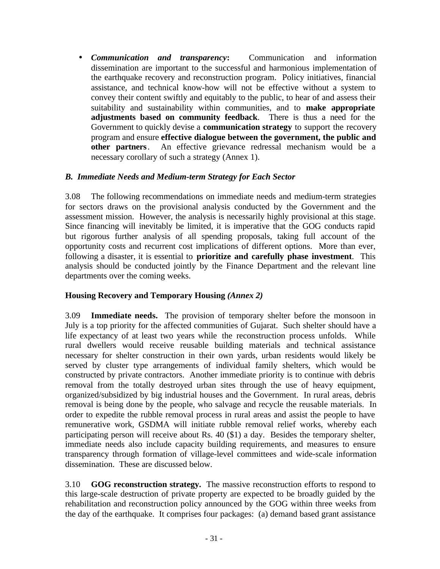• *Communication and transparency***:** Communication and information dissemination are important to the successful and harmonious implementation of the earthquake recovery and reconstruction program. Policy initiatives, financial assistance, and technical know-how will not be effective without a system to convey their content swiftly and equitably to the public, to hear of and assess their suitability and sustainability within communities, and to **make appropriate adjustments based on community feedback**. There is thus a need for the Government to quickly devise a **communication strategy** to support the recovery program and ensure **effective dialogue between the government, the public and other partners**. An effective grievance redressal mechanism would be a necessary corollary of such a strategy (Annex 1).

### *B. Immediate Needs and Medium-term Strategy for Each Sector*

3.08 The following recommendations on immediate needs and medium-term strategies for sectors draws on the provisional analysis conducted by the Government and the assessment mission. However, the analysis is necessarily highly provisional at this stage. Since financing will inevitably be limited, it is imperative that the GOG conducts rapid but rigorous further analysis of all spending proposals, taking full account of the opportunity costs and recurrent cost implications of different options. More than ever, following a disaster, it is essential to **prioritize and carefully phase investment**. This analysis should be conducted jointly by the Finance Department and the relevant line departments over the coming weeks.

#### **Housing Recovery and Temporary Housing** *(Annex 2)*

3.09 **Immediate needs.** The provision of temporary shelter before the monsoon in July is a top priority for the affected communities of Gujarat. Such shelter should have a life expectancy of at least two years while the reconstruction process unfolds. While rural dwellers would receive reusable building materials and technical assistance necessary for shelter construction in their own yards, urban residents would likely be served by cluster type arrangements of individual family shelters, which would be constructed by private contractors. Another immediate priority is to continue with debris removal from the totally destroyed urban sites through the use of heavy equipment, organized/subsidized by big industrial houses and the Government. In rural areas, debris removal is being done by the people, who salvage and recycle the reusable materials. In order to expedite the rubble removal process in rural areas and assist the people to have remunerative work, GSDMA will initiate rubble removal relief works, whereby each participating person will receive about Rs. 40 (\$1) a day. Besides the temporary shelter, immediate needs also include capacity building requirements, and measures to ensure transparency through formation of village-level committees and wide-scale information dissemination. These are discussed below.

3.10 **GOG reconstruction strategy.** The massive reconstruction efforts to respond to this large-scale destruction of private property are expected to be broadly guided by the rehabilitation and reconstruction policy announced by the GOG within three weeks from the day of the earthquake. It comprises four packages: (a) demand based grant assistance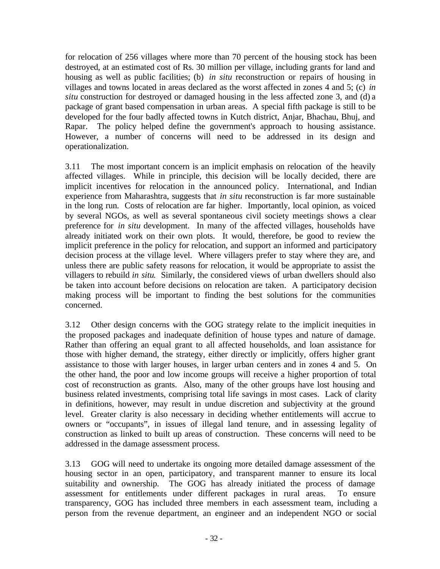for relocation of 256 villages where more than 70 percent of the housing stock has been destroyed, at an estimated cost of Rs. 30 million per village, including grants for land and housing as well as public facilities; (b) *in situ* reconstruction or repairs of housing in villages and towns located in areas declared as the worst affected in zones 4 and 5; (c) *in situ* construction for destroyed or damaged housing in the less affected zone 3, and (d) a package of grant based compensation in urban areas. A special fifth package is still to be developed for the four badly affected towns in Kutch district, Anjar, Bhachau, Bhuj, and Rapar. The policy helped define the government's approach to housing assistance. However, a number of concerns will need to be addressed in its design and operationalization.

3.11 The most important concern is an implicit emphasis on relocation of the heavily affected villages. While in principle, this decision will be locally decided, there are implicit incentives for relocation in the announced policy. International, and Indian experience from Maharashtra, suggests that *in situ* reconstruction is far more sustainable in the long run. Costs of relocation are far higher. Importantly, local opinion, as voiced by several NGOs, as well as several spontaneous civil society meetings shows a clear preference for *in situ* development. In many of the affected villages, households have already initiated work on their own plots. It would, therefore, be good to review the implicit preference in the policy for relocation, and support an informed and participatory decision process at the village level. Where villagers prefer to stay where they are, and unless there are public safety reasons for relocation, it would be appropriate to assist the villagers to rebuild *in situ*. Similarly, the considered views of urban dwellers should also be taken into account before decisions on relocation are taken. A participatory decision making process will be important to finding the best solutions for the communities concerned.

3.12 Other design concerns with the GOG strategy relate to the implicit inequities in the proposed packages and inadequate definition of house types and nature of damage. Rather than offering an equal grant to all affected households, and loan assistance for those with higher demand, the strategy, either directly or implicitly, offers higher grant assistance to those with larger houses, in larger urban centers and in zones 4 and 5. On the other hand, the poor and low income groups will receive a higher proportion of total cost of reconstruction as grants. Also, many of the other groups have lost housing and business related investments, comprising total life savings in most cases. Lack of clarity in definitions, however, may result in undue discretion and subjectivity at the ground level. Greater clarity is also necessary in deciding whether entitlements will accrue to owners or "occupants", in issues of illegal land tenure, and in assessing legality of construction as linked to built up areas of construction. These concerns will need to be addressed in the damage assessment process.

3.13 GOG will need to undertake its ongoing more detailed damage assessment of the housing sector in an open, participatory, and transparent manner to ensure its local suitability and ownership. The GOG has already initiated the process of damage assessment for entitlements under different packages in rural areas. To ensure transparency, GOG has included three members in each assessment team, including a person from the revenue department, an engineer and an independent NGO or social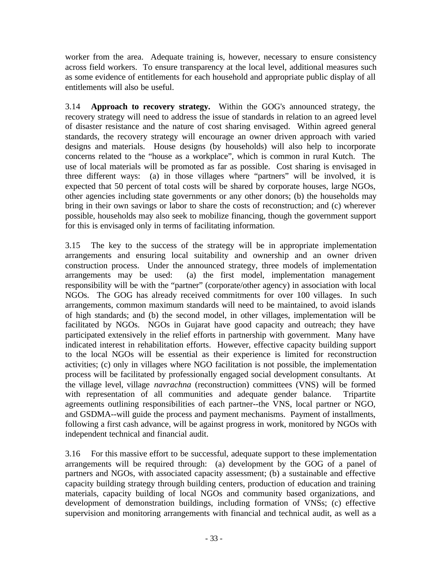worker from the area. Adequate training is, however, necessary to ensure consistency across field workers. To ensure transparency at the local level, additional measures such as some evidence of entitlements for each household and appropriate public display of all entitlements will also be useful.

3.14 **Approach to recovery strategy.** Within the GOG's announced strategy, the recovery strategy will need to address the issue of standards in relation to an agreed level of disaster resistance and the nature of cost sharing envisaged. Within agreed general standards, the recovery strategy will encourage an owner driven approach with varied designs and materials. House designs (by households) will also help to incorporate concerns related to the "house as a workplace", which is common in rural Kutch. The use of local materials will be promoted as far as possible. Cost sharing is envisaged in three different ways: (a) in those villages where "partners" will be involved, it is expected that 50 percent of total costs will be shared by corporate houses, large NGOs, other agencies including state governments or any other donors; (b) the households may bring in their own savings or labor to share the costs of reconstruction; and (c) wherever possible, households may also seek to mobilize financing, though the government support for this is envisaged only in terms of facilitating information.

3.15 The key to the success of the strategy will be in appropriate implementation arrangements and ensuring local suitability and ownership and an owner driven construction process. Under the announced strategy, three models of implementation arrangements may be used: (a) the first model, implementation management responsibility will be with the "partner" (corporate/other agency) in association with local NGOs. The GOG has already received commitments for over 100 villages. In such arrangements, common maximum standards will need to be maintained, to avoid islands of high standards; and (b) the second model, in other villages, implementation will be facilitated by NGOs. NGOs in Gujarat have good capacity and outreach; they have participated extensively in the relief efforts in partnership with government. Many have indicated interest in rehabilitation efforts. However, effective capacity building support to the local NGOs will be essential as their experience is limited for reconstruction activities; (c) only in villages where NGO facilitation is not possible, the implementation process will be facilitated by professionally engaged social development consultants. At the village level, village *navrachna* (reconstruction) committees (VNS) will be formed with representation of all communities and adequate gender balance. Tripartite agreements outlining responsibilities of each partner--the VNS, local partner or NGO, and GSDMA--will guide the process and payment mechanisms. Payment of installments, following a first cash advance, will be against progress in work, monitored by NGOs with independent technical and financial audit.

3.16 For this massive effort to be successful, adequate support to these implementation arrangements will be required through: (a) development by the GOG of a panel of partners and NGOs, with associated capacity assessment; (b) a sustainable and effective capacity building strategy through building centers, production of education and training materials, capacity building of local NGOs and community based organizations, and development of demonstration buildings, including formation of VNSs; (c) effective supervision and monitoring arrangements with financial and technical audit, as well as a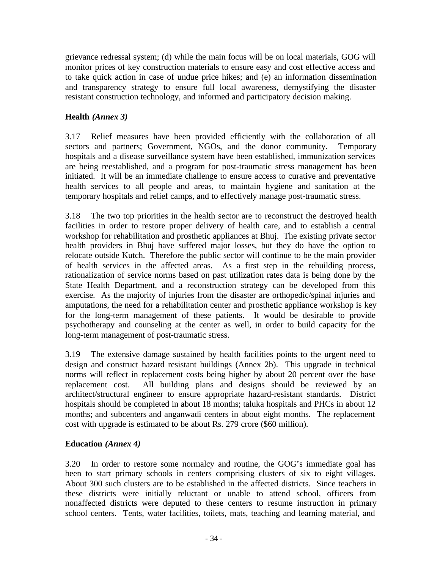grievance redressal system; (d) while the main focus will be on local materials, GOG will monitor prices of key construction materials to ensure easy and cost effective access and to take quick action in case of undue price hikes; and (e) an information dissemination and transparency strategy to ensure full local awareness, demystifying the disaster resistant construction technology, and informed and participatory decision making.

# **Health** *(Annex 3)*

3.17 Relief measures have been provided efficiently with the collaboration of all sectors and partners; Government, NGOs, and the donor community. Temporary hospitals and a disease surveillance system have been established, immunization services are being reestablished, and a program for post-traumatic stress management has been initiated. It will be an immediate challenge to ensure access to curative and preventative health services to all people and areas, to maintain hygiene and sanitation at the temporary hospitals and relief camps, and to effectively manage post-traumatic stress.

3.18 The two top priorities in the health sector are to reconstruct the destroyed health facilities in order to restore proper delivery of health care, and to establish a central workshop for rehabilitation and prosthetic appliances at Bhuj. The existing private sector health providers in Bhuj have suffered major losses, but they do have the option to relocate outside Kutch. Therefore the public sector will continue to be the main provider of health services in the affected areas. As a first step in the rebuilding process, rationalization of service norms based on past utilization rates data is being done by the State Health Department, and a reconstruction strategy can be developed from this exercise. As the majority of injuries from the disaster are orthopedic/spinal injuries and amputations, the need for a rehabilitation center and prosthetic appliance workshop is key for the long-term management of these patients. It would be desirable to provide psychotherapy and counseling at the center as well, in order to build capacity for the long-term management of post-traumatic stress.

3.19 The extensive damage sustained by health facilities points to the urgent need to design and construct hazard resistant buildings (Annex 2b). This upgrade in technical norms will reflect in replacement costs being higher by about 20 percent over the base replacement cost. All building plans and designs should be reviewed by an architect/structural engineer to ensure appropriate hazard-resistant standards. District hospitals should be completed in about 18 months; taluka hospitals and PHCs in about 12 months; and subcenters and anganwadi centers in about eight months. The replacement cost with upgrade is estimated to be about Rs. 279 crore (\$60 million).

#### **Education** *(Annex 4)*

3.20 In order to restore some normalcy and routine, the GOG's immediate goal has been to start primary schools in centers comprising clusters of six to eight villages. About 300 such clusters are to be established in the affected districts. Since teachers in these districts were initially reluctant or unable to attend school, officers from nonaffected districts were deputed to these centers to resume instruction in primary school centers. Tents, water facilities, toilets, mats, teaching and learning material, and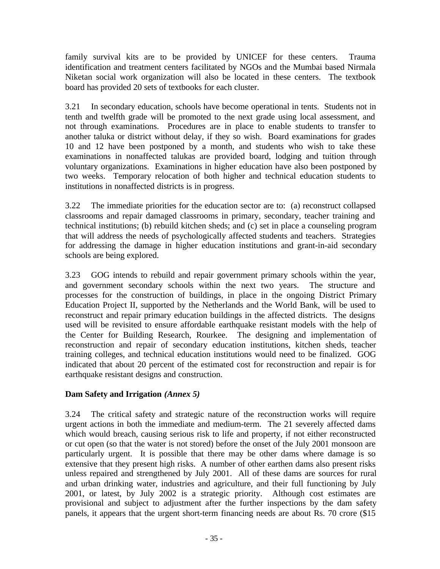family survival kits are to be provided by UNICEF for these centers. Trauma identification and treatment centers facilitated by NGOs and the Mumbai based Nirmala Niketan social work organization will also be located in these centers. The textbook board has provided 20 sets of textbooks for each cluster.

3.21 In secondary education, schools have become operational in tents. Students not in tenth and twelfth grade will be promoted to the next grade using local assessment, and not through examinations. Procedures are in place to enable students to transfer to another taluka or district without delay, if they so wish. Board examinations for grades 10 and 12 have been postponed by a month, and students who wish to take these examinations in nonaffected talukas are provided board, lodging and tuition through voluntary organizations. Examinations in higher education have also been postponed by two weeks. Temporary relocation of both higher and technical education students to institutions in nonaffected districts is in progress.

3.22 The immediate priorities for the education sector are to: (a) reconstruct collapsed classrooms and repair damaged classrooms in primary, secondary, teacher training and technical institutions; (b) rebuild kitchen sheds; and (c) set in place a counseling program that will address the needs of psychologically affected students and teachers. Strategies for addressing the damage in higher education institutions and grant-in-aid secondary schools are being explored.

3.23 GOG intends to rebuild and repair government primary schools within the year, and government secondary schools within the next two years. The structure and processes for the construction of buildings, in place in the ongoing District Primary Education Project II, supported by the Netherlands and the World Bank, will be used to reconstruct and repair primary education buildings in the affected districts. The designs used will be revisited to ensure affordable earthquake resistant models with the help of the Center for Building Research, Rourkee. The designing and implementation of reconstruction and repair of secondary education institutions, kitchen sheds, teacher training colleges, and technical education institutions would need to be finalized. GOG indicated that about 20 percent of the estimated cost for reconstruction and repair is for earthquake resistant designs and construction.

# **Dam Safety and Irrigation** *(Annex 5)*

3.24 The critical safety and strategic nature of the reconstruction works will require urgent actions in both the immediate and medium-term. The 21 severely affected dams which would breach, causing serious risk to life and property, if not either reconstructed or cut open (so that the water is not stored) before the onset of the July 2001 monsoon are particularly urgent. It is possible that there may be other dams where damage is so extensive that they present high risks. A number of other earthen dams also present risks unless repaired and strengthened by July 2001. All of these dams are sources for rural and urban drinking water, industries and agriculture, and their full functioning by July 2001, or latest, by July 2002 is a strategic priority. Although cost estimates are provisional and subject to adjustment after the further inspections by the dam safety panels, it appears that the urgent short-term financing needs are about Rs. 70 crore (\$15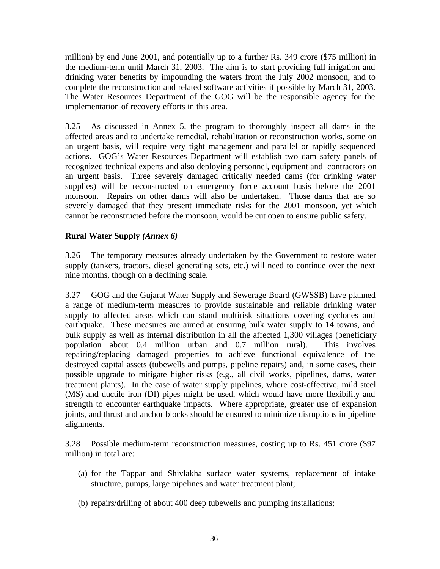million) by end June 2001, and potentially up to a further Rs. 349 crore (\$75 million) in the medium-term until March 31, 2003. The aim is to start providing full irrigation and drinking water benefits by impounding the waters from the July 2002 monsoon, and to complete the reconstruction and related software activities if possible by March 31, 2003. The Water Resources Department of the GOG will be the responsible agency for the implementation of recovery efforts in this area.

3.25 As discussed in Annex 5, the program to thoroughly inspect all dams in the affected areas and to undertake remedial, rehabilitation or reconstruction works, some on an urgent basis, will require very tight management and parallel or rapidly sequenced actions. GOG's Water Resources Department will establish two dam safety panels of recognized technical experts and also deploying personnel, equipment and contractors on an urgent basis. Three severely damaged critically needed dams (for drinking water supplies) will be reconstructed on emergency force account basis before the 2001 monsoon. Repairs on other dams will also be undertaken. Those dams that are so severely damaged that they present immediate risks for the 2001 monsoon, yet which cannot be reconstructed before the monsoon, would be cut open to ensure public safety.

### **Rural Water Supply** *(Annex 6)*

3.26 The temporary measures already undertaken by the Government to restore water supply (tankers, tractors, diesel generating sets, etc.) will need to continue over the next nine months, though on a declining scale.

3.27 GOG and the Gujarat Water Supply and Sewerage Board (GWSSB) have planned a range of medium-term measures to provide sustainable and reliable drinking water supply to affected areas which can stand multirisk situations covering cyclones and earthquake. These measures are aimed at ensuring bulk water supply to 14 towns, and bulk supply as well as internal distribution in all the affected 1,300 villages (beneficiary population about 0.4 million urban and 0.7 million rural). This involves repairing/replacing damaged properties to achieve functional equivalence of the destroyed capital assets (tubewells and pumps, pipeline repairs) and, in some cases, their possible upgrade to mitigate higher risks (e.g., all civil works, pipelines, dams, water treatment plants). In the case of water supply pipelines, where cost-effective, mild steel (MS) and ductile iron (DI) pipes might be used, which would have more flexibility and strength to encounter earthquake impacts. Where appropriate, greater use of expansion joints, and thrust and anchor blocks should be ensured to minimize disruptions in pipeline alignments.

3.28 Possible medium-term reconstruction measures, costing up to Rs. 451 crore (\$97 million) in total are:

- (a) for the Tappar and Shivlakha surface water systems, replacement of intake structure, pumps, large pipelines and water treatment plant;
- (b) repairs/drilling of about 400 deep tubewells and pumping installations;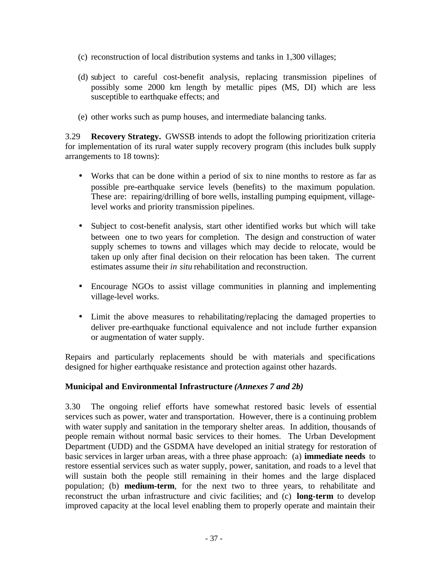- (c) reconstruction of local distribution systems and tanks in 1,300 villages;
- (d) subject to careful cost-benefit analysis, replacing transmission pipelines of possibly some 2000 km length by metallic pipes (MS, DI) which are less susceptible to earthquake effects; and
- (e) other works such as pump houses, and intermediate balancing tanks.

3.29 **Recovery Strategy.** GWSSB intends to adopt the following prioritization criteria for implementation of its rural water supply recovery program (this includes bulk supply arrangements to 18 towns):

- Works that can be done within a period of six to nine months to restore as far as possible pre-earthquake service levels (benefits) to the maximum population. These are: repairing/drilling of bore wells, installing pumping equipment, villagelevel works and priority transmission pipelines.
- Subject to cost-benefit analysis, start other identified works but which will take between one to two years for completion. The design and construction of water supply schemes to towns and villages which may decide to relocate, would be taken up only after final decision on their relocation has been taken. The current estimates assume their *in situ* rehabilitation and reconstruction.
- Encourage NGOs to assist village communities in planning and implementing village-level works.
- Limit the above measures to rehabilitating/replacing the damaged properties to deliver pre-earthquake functional equivalence and not include further expansion or augmentation of water supply.

Repairs and particularly replacements should be with materials and specifications designed for higher earthquake resistance and protection against other hazards.

#### **Municipal and Environmental Infrastructure** *(Annexes 7 and 2b)*

3.30 The ongoing relief efforts have somewhat restored basic levels of essential services such as power, water and transportation. However, there is a continuing problem with water supply and sanitation in the temporary shelter areas. In addition, thousands of people remain without normal basic services to their homes. The Urban Development Department (UDD) and the GSDMA have developed an initial strategy for restoration of basic services in larger urban areas, with a three phase approach: (a) **immediate needs** to restore essential services such as water supply, power, sanitation, and roads to a level that will sustain both the people still remaining in their homes and the large displaced population; (b) **medium-term**, for the next two to three years, to rehabilitate and reconstruct the urban infrastructure and civic facilities; and (c) **long-term** to develop improved capacity at the local level enabling them to properly operate and maintain their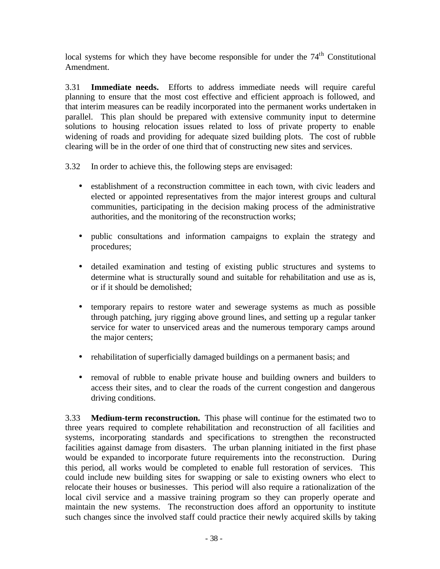local systems for which they have become responsible for under the  $74<sup>th</sup>$  Constitutional Amendment.

3.31 **Immediate needs.** Efforts to address immediate needs will require careful planning to ensure that the most cost effective and efficient approach is followed, and that interim measures can be readily incorporated into the permanent works undertaken in parallel. This plan should be prepared with extensive community input to determine solutions to housing relocation issues related to loss of private property to enable widening of roads and providing for adequate sized building plots. The cost of rubble clearing will be in the order of one third that of constructing new sites and services.

- 3.32 In order to achieve this, the following steps are envisaged:
	- establishment of a reconstruction committee in each town, with civic leaders and elected or appointed representatives from the major interest groups and cultural communities, participating in the decision making process of the administrative authorities, and the monitoring of the reconstruction works;
	- public consultations and information campaigns to explain the strategy and procedures;
	- detailed examination and testing of existing public structures and systems to determine what is structurally sound and suitable for rehabilitation and use as is, or if it should be demolished;
	- temporary repairs to restore water and sewerage systems as much as possible through patching, jury rigging above ground lines, and setting up a regular tanker service for water to unserviced areas and the numerous temporary camps around the major centers;
	- rehabilitation of superficially damaged buildings on a permanent basis; and
	- removal of rubble to enable private house and building owners and builders to access their sites, and to clear the roads of the current congestion and dangerous driving conditions.

3.33 **Medium-term reconstruction.** This phase will continue for the estimated two to three years required to complete rehabilitation and reconstruction of all facilities and systems, incorporating standards and specifications to strengthen the reconstructed facilities against damage from disasters. The urban planning initiated in the first phase would be expanded to incorporate future requirements into the reconstruction. During this period, all works would be completed to enable full restoration of services. This could include new building sites for swapping or sale to existing owners who elect to relocate their houses or businesses. This period will also require a rationalization of the local civil service and a massive training program so they can properly operate and maintain the new systems. The reconstruction does afford an opportunity to institute such changes since the involved staff could practice their newly acquired skills by taking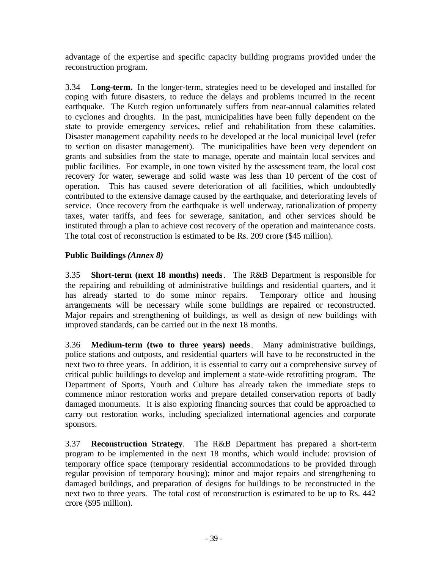advantage of the expertise and specific capacity building programs provided under the reconstruction program.

3.34 **Long-term.** In the longer-term, strategies need to be developed and installed for coping with future disasters, to reduce the delays and problems incurred in the recent earthquake. The Kutch region unfortunately suffers from near-annual calamities related to cyclones and droughts. In the past, municipalities have been fully dependent on the state to provide emergency services, relief and rehabilitation from these calamities. Disaster management capability needs to be developed at the local municipal level (refer to section on disaster management). The municipalities have been very dependent on grants and subsidies from the state to manage, operate and maintain local services and public facilities. For example, in one town visited by the assessment team, the local cost recovery for water, sewerage and solid waste was less than 10 percent of the cost of operation. This has caused severe deterioration of all facilities, which undoubtedly contributed to the extensive damage caused by the earthquake, and deteriorating levels of service. Once recovery from the earthquake is well underway, rationalization of property taxes, water tariffs, and fees for sewerage, sanitation, and other services should be instituted through a plan to achieve cost recovery of the operation and maintenance costs. The total cost of reconstruction is estimated to be Rs. 209 crore (\$45 million).

# **Public Buildings** *(Annex 8)*

3.35 **Short-term (next 18 months) needs**. The R&B Department is responsible for the repairing and rebuilding of administrative buildings and residential quarters, and it has already started to do some minor repairs. Temporary office and housing has already started to do some minor repairs. arrangements will be necessary while some buildings are repaired or reconstructed. Major repairs and strengthening of buildings, as well as design of new buildings with improved standards, can be carried out in the next 18 months.

3.36 **Medium-term (two to three years) needs**. Many administrative buildings, police stations and outposts, and residential quarters will have to be reconstructed in the next two to three years. In addition, it is essential to carry out a comprehensive survey of critical public buildings to develop and implement a state-wide retrofitting program. The Department of Sports, Youth and Culture has already taken the immediate steps to commence minor restoration works and prepare detailed conservation reports of badly damaged monuments. It is also exploring financing sources that could be approached to carry out restoration works, including specialized international agencies and corporate sponsors.

3.37 **Reconstruction Strategy**. The R&B Department has prepared a short-term program to be implemented in the next 18 months, which would include: provision of temporary office space (temporary residential accommodations to be provided through regular provision of temporary housing); minor and major repairs and strengthening to damaged buildings, and preparation of designs for buildings to be reconstructed in the next two to three years. The total cost of reconstruction is estimated to be up to Rs. 442 crore (\$95 million).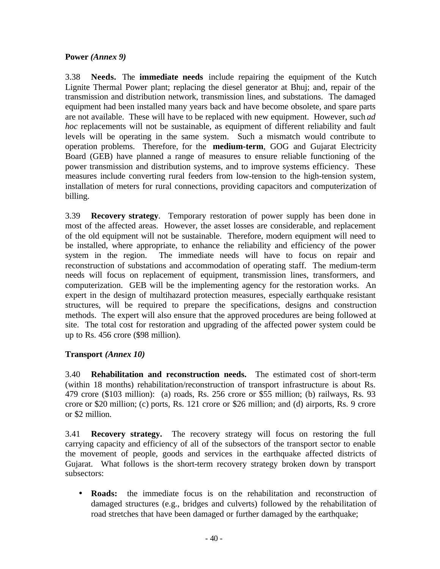#### **Power** *(Annex 9)*

3.38 **Needs.** The **immediate needs** include repairing the equipment of the Kutch Lignite Thermal Power plant; replacing the diesel generator at Bhuj; and, repair of the transmission and distribution network, transmission lines, and substations. The damaged equipment had been installed many years back and have become obsolete, and spare parts are not available. These will have to be replaced with new equipment. However, such *ad hoc* replacements will not be sustainable, as equipment of different reliability and fault levels will be operating in the same system. Such a mismatch would contribute to operation problems. Therefore, for the **medium-term**, GOG and Gujarat Electricity Board (GEB) have planned a range of measures to ensure reliable functioning of the power transmission and distribution systems, and to improve systems efficiency. These measures include converting rural feeders from low-tension to the high-tension system, installation of meters for rural connections, providing capacitors and computerization of billing.

3.39 **Recovery strategy**. Temporary restoration of power supply has been done in most of the affected areas. However, the asset losses are considerable, and replacement of the old equipment will not be sustainable. Therefore, modern equipment will need to be installed, where appropriate, to enhance the reliability and efficiency of the power system in the region. The immediate needs will have to focus on repair and reconstruction of substations and accommodation of operating staff. The medium-term needs will focus on replacement of equipment, transmission lines, transformers, and computerization. GEB will be the implementing agency for the restoration works. An expert in the design of multihazard protection measures, especially earthquake resistant structures, will be required to prepare the specifications, designs and construction methods. The expert will also ensure that the approved procedures are being followed at site. The total cost for restoration and upgrading of the affected power system could be up to Rs. 456 crore (\$98 million).

# **Transport** *(Annex 10)*

3.40 **Rehabilitation and reconstruction needs.** The estimated cost of short-term (within 18 months) rehabilitation/reconstruction of transport infrastructure is about Rs. 479 crore (\$103 million): (a) roads, Rs. 256 crore or \$55 million; (b) railways, Rs. 93 crore or \$20 million; (c) ports, Rs. 121 crore or \$26 million; and (d) airports, Rs. 9 crore or \$2 million.

3.41 **Recovery strategy.**The recovery strategy will focus on restoring the full carrying capacity and efficiency of all of the subsectors of the transport sector to enable the movement of people, goods and services in the earthquake affected districts of Gujarat. What follows is the short-term recovery strategy broken down by transport subsectors:

• **Roads:** the immediate focus is on the rehabilitation and reconstruction of damaged structures (e.g., bridges and culverts) followed by the rehabilitation of road stretches that have been damaged or further damaged by the earthquake;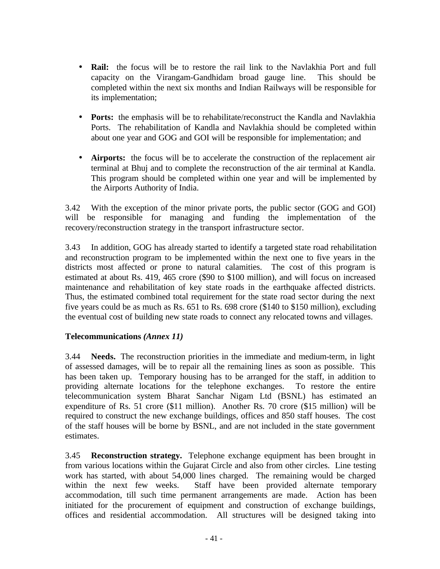- **Rail:** the focus will be to restore the rail link to the Navlakhia Port and full capacity on the Virangam-Gandhidam broad gauge line. This should be completed within the next six months and Indian Railways will be responsible for its implementation;
- **Ports:** the emphasis will be to rehabilitate/reconstruct the Kandla and Navlakhia Ports. The rehabilitation of Kandla and Navlakhia should be completed within about one year and GOG and GOI will be responsible for implementation; and
- **Airports:** the focus will be to accelerate the construction of the replacement air terminal at Bhuj and to complete the reconstruction of the air terminal at Kandla. This program should be completed within one year and will be implemented by the Airports Authority of India.

3.42 With the exception of the minor private ports, the public sector (GOG and GOI) will be responsible for managing and funding the implementation of the recovery/reconstruction strategy in the transport infrastructure sector.

3.43 In addition, GOG has already started to identify a targeted state road rehabilitation and reconstruction program to be implemented within the next one to five years in the districts most affected or prone to natural calamities. The cost of this program is estimated at about Rs. 419, 465 crore (\$90 to \$100 million), and will focus on increased maintenance and rehabilitation of key state roads in the earthquake affected districts. Thus, the estimated combined total requirement for the state road sector during the next five years could be as much as Rs. 651 to Rs. 698 crore (\$140 to \$150 million), excluding the eventual cost of building new state roads to connect any relocated towns and villages.

#### **Telecommunications** *(Annex 11)*

3.44 **Needs.** The reconstruction priorities in the immediate and medium-term, in light of assessed damages, will be to repair all the remaining lines as soon as possible. This has been taken up. Temporary housing has to be arranged for the staff, in addition to providing alternate locations for the telephone exchanges. To restore the entire telecommunication system Bharat Sanchar Nigam Ltd (BSNL) has estimated an expenditure of Rs. 51 crore (\$11 million). Another Rs. 70 crore (\$15 million) will be required to construct the new exchange buildings, offices and 850 staff houses. The cost of the staff houses will be borne by BSNL, and are not included in the state government estimates.

3.45 **Reconstruction strategy.** Telephone exchange equipment has been brought in from various locations within the Gujarat Circle and also from other circles. Line testing work has started, with about 54,000 lines charged. The remaining would be charged within the next few weeks. Staff have been provided alternate temporary accommodation, till such time permanent arrangements are made. Action has been initiated for the procurement of equipment and construction of exchange buildings, offices and residential accommodation. All structures will be designed taking into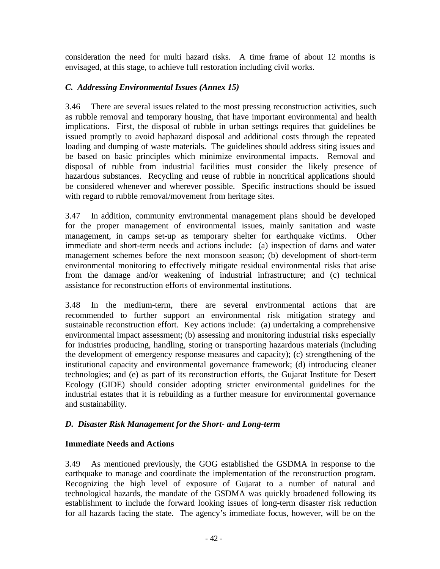consideration the need for multi hazard risks. A time frame of about 12 months is envisaged, at this stage, to achieve full restoration including civil works.

## *C. Addressing Environmental Issues (Annex 15)*

3.46 There are several issues related to the most pressing reconstruction activities, such as rubble removal and temporary housing, that have important environmental and health implications. First, the disposal of rubble in urban settings requires that guidelines be issued promptly to avoid haphazard disposal and additional costs through the repeated loading and dumping of waste materials. The guidelines should address siting issues and be based on basic principles which minimize environmental impacts. Removal and disposal of rubble from industrial facilities must consider the likely presence of hazardous substances. Recycling and reuse of rubble in noncritical applications should be considered whenever and wherever possible. Specific instructions should be issued with regard to rubble removal/movement from heritage sites.

3.47 In addition, community environmental management plans should be developed for the proper management of environmental issues, mainly sanitation and waste management, in camps set-up as temporary shelter for earthquake victims. Other immediate and short-term needs and actions include: (a) inspection of dams and water management schemes before the next monsoon season; (b) development of short-term environmental monitoring to effectively mitigate residual environmental risks that arise from the damage and/or weakening of industrial infrastructure; and (c) technical assistance for reconstruction efforts of environmental institutions.

3.48 In the medium-term, there are several environmental actions that are recommended to further support an environmental risk mitigation strategy and sustainable reconstruction effort. Key actions include: (a) undertaking a comprehensive environmental impact assessment; (b) assessing and monitoring industrial risks especially for industries producing, handling, storing or transporting hazardous materials (including the development of emergency response measures and capacity); (c) strengthening of the institutional capacity and environmental governance framework; (d) introducing cleaner technologies; and (e) as part of its reconstruction efforts, the Gujarat Institute for Desert Ecology (GIDE) should consider adopting stricter environmental guidelines for the industrial estates that it is rebuilding as a further measure for environmental governance and sustainability.

# *D. Disaster Risk Management for the Short- and Long-term*

#### **Immediate Needs and Actions**

3.49 As mentioned previously, the GOG established the GSDMA in response to the earthquake to manage and coordinate the implementation of the reconstruction program. Recognizing the high level of exposure of Gujarat to a number of natural and technological hazards, the mandate of the GSDMA was quickly broadened following its establishment to include the forward looking issues of long-term disaster risk reduction for all hazards facing the state. The agency's immediate focus, however, will be on the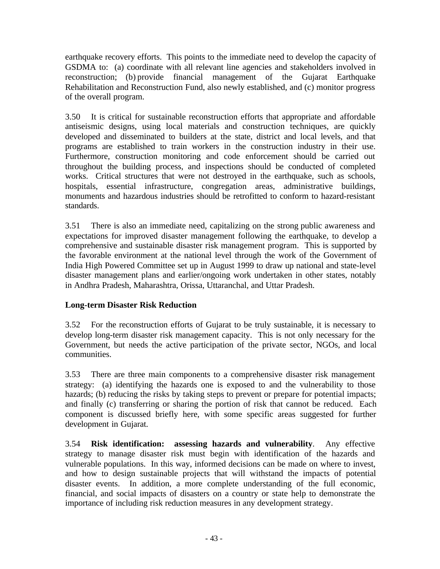earthquake recovery efforts. This points to the immediate need to develop the capacity of GSDMA to: (a) coordinate with all relevant line agencies and stakeholders involved in reconstruction; (b) provide financial management of the Gujarat Earthquake Rehabilitation and Reconstruction Fund, also newly established, and (c) monitor progress of the overall program.

3.50 It is critical for sustainable reconstruction efforts that appropriate and affordable antiseismic designs, using local materials and construction techniques, are quickly developed and disseminated to builders at the state, district and local levels, and that programs are established to train workers in the construction industry in their use. Furthermore, construction monitoring and code enforcement should be carried out throughout the building process, and inspections should be conducted of completed works. Critical structures that were not destroyed in the earthquake, such as schools, hospitals, essential infrastructure, congregation areas, administrative buildings, monuments and hazardous industries should be retrofitted to conform to hazard-resistant standards.

3.51 There is also an immediate need, capitalizing on the strong public awareness and expectations for improved disaster management following the earthquake, to develop a comprehensive and sustainable disaster risk management program. This is supported by the favorable environment at the national level through the work of the Government of India High Powered Committee set up in August 1999 to draw up national and state-level disaster management plans and earlier/ongoing work undertaken in other states, notably in Andhra Pradesh, Maharashtra, Orissa, Uttaranchal, and Uttar Pradesh.

# **Long-term Disaster Risk Reduction**

3.52 For the reconstruction efforts of Gujarat to be truly sustainable, it is necessary to develop long-term disaster risk management capacity. This is not only necessary for the Government, but needs the active participation of the private sector, NGOs, and local communities.

3.53 There are three main components to a comprehensive disaster risk management strategy: (a) identifying the hazards one is exposed to and the vulnerability to those hazards; (b) reducing the risks by taking steps to prevent or prepare for potential impacts; and finally (c) transferring or sharing the portion of risk that cannot be reduced. Each component is discussed briefly here, with some specific areas suggested for further development in Gujarat.

3.54 **Risk identification: assessing hazards and vulnerability**. Any effective strategy to manage disaster risk must begin with identification of the hazards and vulnerable populations. In this way, informed decisions can be made on where to invest, and how to design sustainable projects that will withstand the impacts of potential disaster events. In addition, a more complete understanding of the full economic, financial, and social impacts of disasters on a country or state help to demonstrate the importance of including risk reduction measures in any development strategy.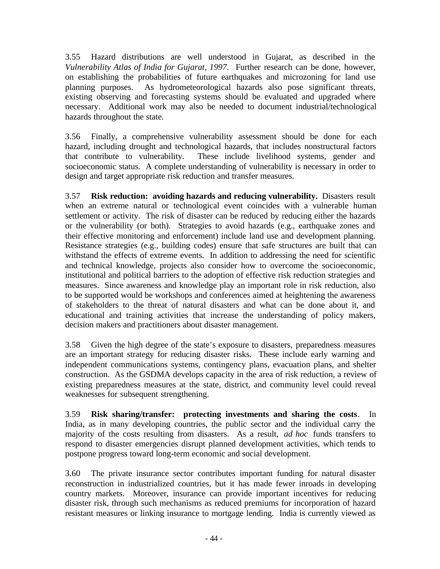3.55 Hazard distributions are well understood in Gujarat, as described in the *Vulnerability Atlas of India for Gujarat, 1997*. Further research can be done, however, on establishing the probabilities of future earthquakes and microzoning for land use planning purposes. As hydrometeorological hazards also pose significant threats, existing observing and forecasting systems should be evaluated and upgraded where necessary. Additional work may also be needed to document industrial/technological hazards throughout the state.

3.56 Finally, a comprehensive vulnerability assessment should be done for each hazard, including drought and technological hazards, that includes nonstructural factors that contribute to vulnerability. These include livelihood systems, gender and socioeconomic status. A complete understanding of vulnerability is necessary in order to design and target appropriate risk reduction and transfer measures.

3.57 **Risk reduction: avoiding hazards and reducing vulnerability.** Disasters result when an extreme natural or technological event coincides with a vulnerable human settlement or activity. The risk of disaster can be reduced by reducing either the hazards or the vulnerability (or both). Strategies to avoid hazards (e.g., earthquake zones and their effective monitoring and enforcement) include land use and development planning. Resistance strategies (e.g., building codes) ensure that safe structures are built that can withstand the effects of extreme events. In addition to addressing the need for scientific and technical knowledge, projects also consider how to overcome the socioeconomic, institutional and political barriers to the adoption of effective risk reduction strategies and measures. Since awareness and knowledge play an important role in risk reduction, also to be supported would be workshops and conferences aimed at heightening the awareness of stakeholders to the threat of natural disasters and what can be done about it, and educational and training activities that increase the understanding of policy makers, decision makers and practitioners about disaster management.

3.58 Given the high degree of the state's exposure to disasters, preparedness measures are an important strategy for reducing disaster risks. These include early warning and independent communications systems, contingency plans, evacuation plans, and shelter construction. As the GSDMA develops capacity in the area of risk reduction, a review of existing preparedness measures at the state, district, and community level could reveal weaknesses for subsequent strengthening.

3.59 **Risk sharing/transfer: protecting investments and sharing the costs**.In India, as in many developing countries, the public sector and the individual carry the majority of the costs resulting from disasters. As a result, *ad hoc* funds transfers to respond to disaster emergencies disrupt planned development activities, which tends to postpone progress toward long-term economic and social development.

3.60 The private insurance sector contributes important funding for natural disaster reconstruction in industrialized countries, but it has made fewer inroads in developing country markets. Moreover, insurance can provide important incentives for reducing disaster risk, through such mechanisms as reduced premiums for incorporation of hazard resistant measures or linking insurance to mortgage lending. India is currently viewed as